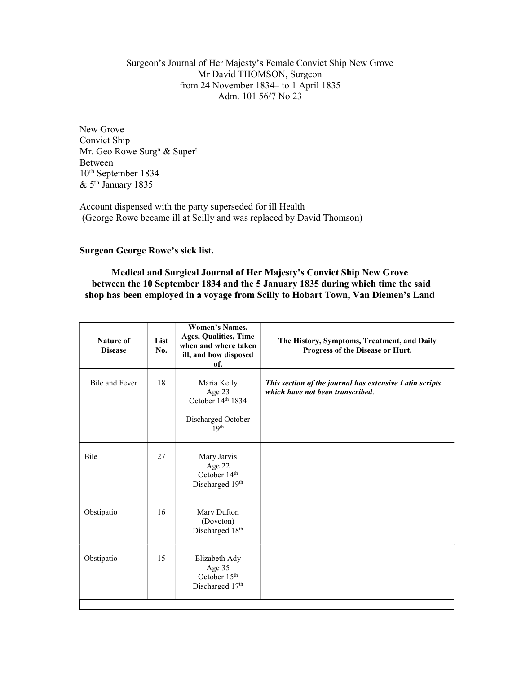Surgeon's Journal of Her Majesty's Female Convict Ship New Grove Mr David THOMSON, Surgeon from 24 November 1834– to 1 April 1835 Adm. 101 56/7 No 23

New Grove Convict Ship Mr. Geo Rowe Surg<sup>n</sup> & Super<sup>t</sup> Between 10th September 1834 & 5th January 1835

Account dispensed with the party superseded for ill Health (George Rowe became ill at Scilly and was replaced by David Thomson)

Surgeon George Rowe's sick list.

Medical and Surgical Journal of Her Majesty's Convict Ship New Grove between the 10 September 1834 and the 5 January 1835 during which time the said shop has been employed in a voyage from Scilly to Hobart Town, Van Diemen's Land

| <b>Nature of</b><br><b>Disease</b> | List<br>No. | <b>Women's Names,</b><br>Ages, Qualities, Time<br>when and where taken<br>ill, and how disposed<br>of. | The History, Symptoms, Treatment, and Daily<br>Progress of the Disease or Hurt.             |
|------------------------------------|-------------|--------------------------------------------------------------------------------------------------------|---------------------------------------------------------------------------------------------|
| <b>Bile and Fever</b>              | 18          | Maria Kelly<br>Age 23<br>October 14th 1834<br>Discharged October<br>19 <sup>th</sup>                   | This section of the journal has extensive Latin scripts<br>which have not been transcribed. |
| Bile                               | 27          | Mary Jarvis<br>Age 22<br>October 14th<br>Discharged 19th                                               |                                                                                             |
| Obstipatio                         | 16          | Mary Dufton<br>(Doveton)<br>Discharged 18th                                                            |                                                                                             |
| Obstipatio                         | 15          | Elizabeth Ady<br>Age 35<br>October 15 <sup>th</sup><br>Discharged 17th                                 |                                                                                             |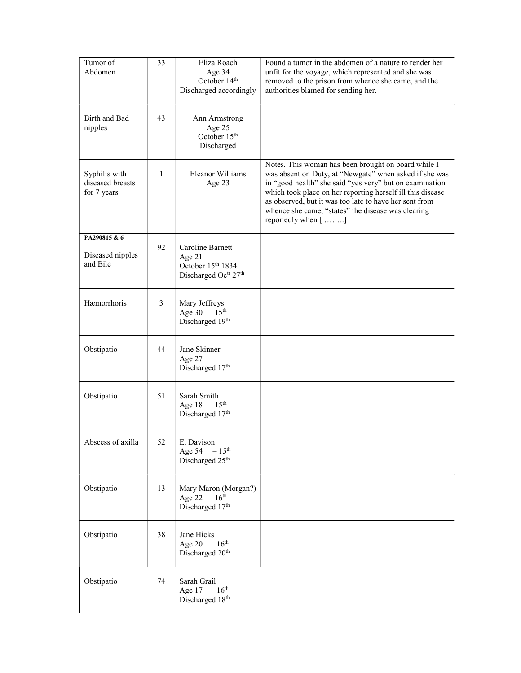| Tumor of<br>Abdomen                              | 33 | Eliza Roach<br>Age 34<br>October 14 <sup>th</sup><br>Discharged accordingly | Found a tumor in the abdomen of a nature to render her<br>unfit for the voyage, which represented and she was<br>removed to the prison from whence she came, and the<br>authorities blamed for sending her.                                                                                                                                                                  |
|--------------------------------------------------|----|-----------------------------------------------------------------------------|------------------------------------------------------------------------------------------------------------------------------------------------------------------------------------------------------------------------------------------------------------------------------------------------------------------------------------------------------------------------------|
| Birth and Bad<br>nipples                         | 43 | Ann Armstrong<br>Age 25<br>October 15 <sup>th</sup><br>Discharged           |                                                                                                                                                                                                                                                                                                                                                                              |
| Syphilis with<br>diseased breasts<br>for 7 years | 1  | Eleanor Williams<br>Age 23                                                  | Notes. This woman has been brought on board while I<br>was absent on Duty, at "Newgate" when asked if she was<br>in "good health" she said "yes very" but on examination<br>which took place on her reporting herself ill this disease<br>as observed, but it was too late to have her sent from<br>whence she came, "states" the disease was clearing<br>reportedly when [] |
| PA290815 & 6<br>Diseased nipples<br>and Bile     | 92 | Caroline Barnett<br>Age 21<br>October 15th 1834<br>Discharged Octr 27th     |                                                                                                                                                                                                                                                                                                                                                                              |
| Hæmorrhoris                                      | 3  | Mary Jeffreys<br>Age 30<br>15 <sup>th</sup><br>Discharged 19th              |                                                                                                                                                                                                                                                                                                                                                                              |
| Obstipatio                                       | 44 | Jane Skinner<br>Age 27<br>Discharged 17th                                   |                                                                                                                                                                                                                                                                                                                                                                              |
| Obstipatio                                       | 51 | Sarah Smith<br>Age 18<br>15 <sup>th</sup><br>Discharged 17th                |                                                                                                                                                                                                                                                                                                                                                                              |
| Abscess of axilla                                | 52 | E. Davison<br>$-15^{\text{th}}$<br>Age 54<br>Discharged 25th                |                                                                                                                                                                                                                                                                                                                                                                              |
| Obstipatio                                       | 13 | Mary Maron (Morgan?)<br>16 <sup>th</sup><br>Age 22<br>Discharged 17th       |                                                                                                                                                                                                                                                                                                                                                                              |
| Obstipatio                                       | 38 | Jane Hicks<br>16 <sup>th</sup><br>Age 20<br>Discharged 20 <sup>th</sup>     |                                                                                                                                                                                                                                                                                                                                                                              |
| Obstipatio                                       | 74 | Sarah Grail<br>16 <sup>th</sup><br>Age 17<br>Discharged 18th                |                                                                                                                                                                                                                                                                                                                                                                              |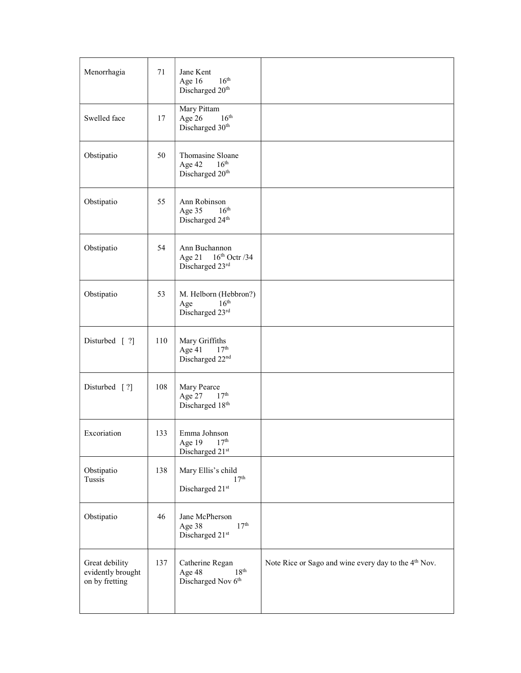| Menorrhagia                                           | 71  | Jane Kent<br>16 <sup>th</sup><br>Age 16<br>Discharged 20 <sup>th</sup>        |                                                                  |
|-------------------------------------------------------|-----|-------------------------------------------------------------------------------|------------------------------------------------------------------|
| Swelled face                                          | 17  | Mary Pittam<br>16 <sup>th</sup><br>Age 26<br>Discharged 30 <sup>th</sup>      |                                                                  |
| Obstipatio                                            | 50  | Thomasine Sloane<br>16 <sup>th</sup><br>Age 42<br>Discharged 20 <sup>th</sup> |                                                                  |
| Obstipatio                                            | 55  | Ann Robinson<br>16 <sup>th</sup><br>Age 35<br>Discharged 24th                 |                                                                  |
| Obstipatio                                            | 54  | Ann Buchannon<br>$16th$ Octr /34<br>Age $21$<br>Discharged 23rd               |                                                                  |
| Obstipatio                                            | 53  | M. Helborn (Hebbron?)<br>16 <sup>th</sup><br>Age<br>Discharged 23rd           |                                                                  |
| Disturbed [ ?]                                        | 110 | Mary Griffiths<br>17 <sup>th</sup><br>Age 41<br>Discharged 22 <sup>nd</sup>   |                                                                  |
| Disturbed $[?]$                                       | 108 | Mary Pearce<br>17 <sup>th</sup><br>Age 27<br>Discharged 18th                  |                                                                  |
| Excoriation                                           | 133 | Emma Johnson<br>17 <sup>th</sup><br>Age 19<br>Discharged 21st                 |                                                                  |
| Obstipatio<br>Tussis                                  | 138 | Mary Ellis's child<br>17 <sup>th</sup><br>Discharged 21st                     |                                                                  |
| Obstipatio                                            | 46  | Jane McPherson<br>17 <sup>th</sup><br>Age 38<br>Discharged 21st               |                                                                  |
| Great debility<br>evidently brought<br>on by fretting | 137 | Catherine Regan<br>18 <sup>th</sup><br>Age 48<br>Discharged Nov 6th           | Note Rice or Sago and wine every day to the 4 <sup>th</sup> Nov. |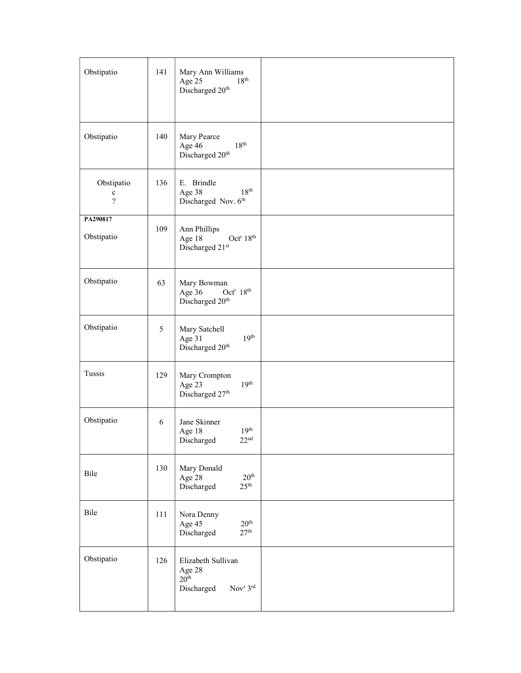| Obstipatio                                            | 141 | Mary Ann Williams<br>18 <sup>th</sup><br>Age 25<br>Discharged 20 <sup>th</sup>                     |  |
|-------------------------------------------------------|-----|----------------------------------------------------------------------------------------------------|--|
| Obstipatio                                            | 140 | Mary Pearce<br>18 <sup>th</sup><br>Age 46<br>Discharged 20 <sup>th</sup>                           |  |
| Obstipatio<br>$\mathbf c$<br>$\overline{\mathcal{L}}$ | 136 | E. Brindle<br>$18^{\rm th}$<br>Age 38<br>Discharged Nov. 6th                                       |  |
| PA290817<br>Obstipatio                                | 109 | Ann Phillips<br>Age 18<br>Oct <sup>r</sup> 18 <sup>th</sup><br>Discharged 21st                     |  |
| Obstipatio                                            | 63  | Mary Bowman<br>Age 36<br>Oct <sup>r</sup> $18th$<br>Discharged 20 <sup>th</sup>                    |  |
| Obstipatio                                            | 5   | Mary Satchell<br>19 <sup>th</sup><br>Age 31<br>Discharged 20 <sup>th</sup>                         |  |
| Tussis                                                | 129 | Mary Crompton<br>19 <sup>th</sup><br>Age 23<br>Discharged 27th                                     |  |
| Obstipatio                                            | 6   | Jane Skinner<br>19 <sup>th</sup><br>Age 18<br>$22^{\rm nd}$<br>Discharged                          |  |
| Bile                                                  | 130 | Mary Donald<br>20 <sup>th</sup><br>Age 28<br>25 <sup>th</sup><br>Discharged                        |  |
| Bile                                                  | 111 | Nora Denny<br>20 <sup>th</sup><br>Age 45<br>27 <sup>th</sup><br>Discharged                         |  |
| Obstipatio                                            | 126 | Elizabeth Sullivan<br>Age 28<br>20 <sup>th</sup><br>Nov <sup>r</sup> 3 <sup>rd</sup><br>Discharged |  |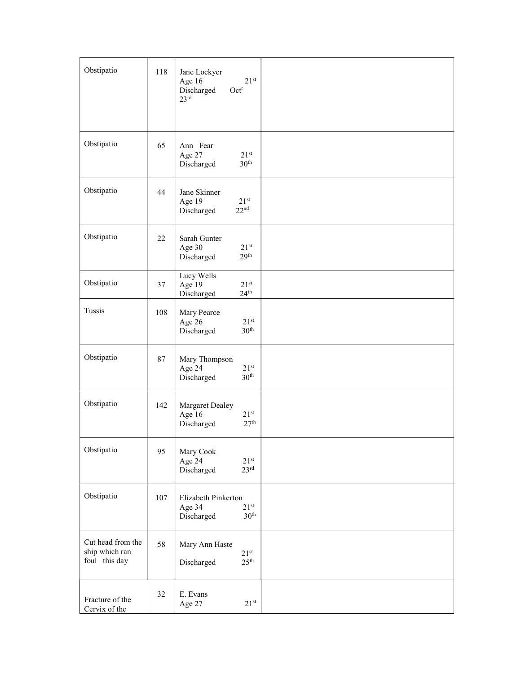| Obstipatio                                           | 118 | Jane Lockyer<br>$21^{st}$<br>Age 16<br>Discharged<br>Oct <sup>r</sup><br>23 <sup>rd</sup> |  |
|------------------------------------------------------|-----|-------------------------------------------------------------------------------------------|--|
| Obstipatio                                           | 65  | Ann Fear<br>Age 27<br>21 <sup>st</sup><br>30 <sup>th</sup><br>Discharged                  |  |
| Obstipatio                                           | 44  | Jane Skinner<br>Age 19<br>21 <sup>st</sup><br>22 <sup>nd</sup><br>Discharged              |  |
| Obstipatio                                           | 22  | Sarah Gunter<br>Age 30<br>$21^{st}$<br>29 <sup>th</sup><br>Discharged                     |  |
| Obstipatio                                           | 37  | Lucy Wells<br>$21^{st}$<br>Age 19<br>$24^{\text{th}}$<br>Discharged                       |  |
| Tussis                                               | 108 | Mary Pearce<br>Age 26<br>$21^{st}$<br>30 <sup>th</sup><br>Discharged                      |  |
| Obstipatio                                           | 87  | Mary Thompson<br>Age 24<br>$21^{st}$<br>30 <sup>th</sup><br>Discharged                    |  |
| Obstipatio                                           | 142 | Margaret Dealey<br>Age 16<br>$21^{st}$<br>27 <sup>th</sup><br>Discharged                  |  |
| Obstipatio                                           | 95  | Mary Cook<br>$21^{st}$<br>Age 24<br>23 <sup>rd</sup><br>Discharged                        |  |
| Obstipatio                                           | 107 | Elizabeth Pinkerton<br>$21^{st}$<br>Age 34<br>30 <sup>th</sup><br>Discharged              |  |
| Cut head from the<br>ship which ran<br>foul this day | 58  | Mary Ann Haste<br>$21^{st}$<br>25 <sup>th</sup><br>Discharged                             |  |
| Fracture of the<br>Cervix of the                     | 32  | E. Evans<br>$21^{st}$<br>Age 27                                                           |  |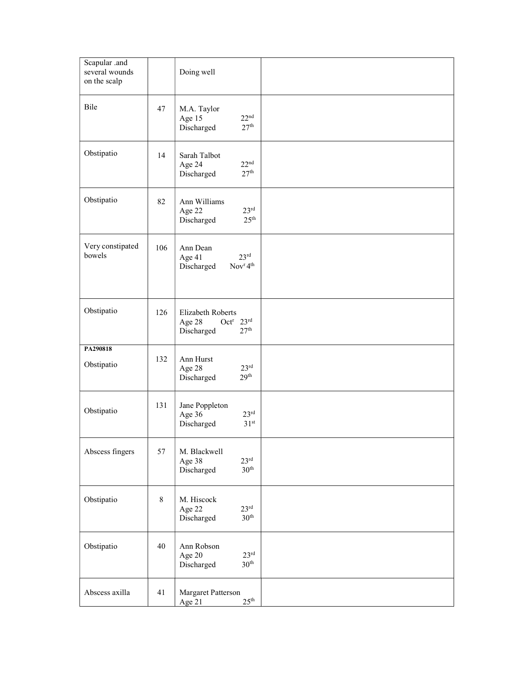| Scapular .and<br>several wounds<br>on the scalp |       | Doing well                                                                                         |  |
|-------------------------------------------------|-------|----------------------------------------------------------------------------------------------------|--|
| Bile                                            | 47    | M.A. Taylor<br>22 <sup>nd</sup><br>Age 15<br>27 <sup>th</sup><br>Discharged                        |  |
| Obstipatio                                      | 14    | Sarah Talbot<br>22 <sup>nd</sup><br>Age 24<br>27 <sup>th</sup><br>Discharged                       |  |
| Obstipatio                                      | 82    | Ann Williams<br>$23^{\text{rd}}$<br>Age 22<br>25 <sup>th</sup><br>Discharged                       |  |
| Very constipated<br>bowels                      | 106   | Ann Dean<br>$23^{\text{rd}}$<br>Age 41<br>Discharged<br>Nov <sup>r</sup> 4 <sup>th</sup>           |  |
| Obstipatio                                      | 126   | Elizabeth Roberts<br>Oct <sup>r</sup> $23^{\text{rd}}$<br>Age 28<br>27 <sup>th</sup><br>Discharged |  |
| PA290818<br>Obstipatio                          | 132   | Ann Hurst<br>$23^{\text{rd}}$<br>Age 28<br>29 <sup>th</sup><br>Discharged                          |  |
| Obstipatio                                      | 131   | Jane Poppleton<br>23 <sup>rd</sup><br>Age 36<br>31 <sup>st</sup><br>Discharged                     |  |
| Abscess fingers                                 | 57    | M. Blackwell<br>23 <sup>rd</sup><br>Age 38<br>30 <sup>th</sup><br>Discharged                       |  |
| Obstipatio                                      | $8\,$ | M. Hiscock<br>$23^{\text{rd}}$<br>Age 22<br>30 <sup>th</sup><br>Discharged                         |  |
| Obstipatio                                      | 40    | Ann Robson<br>$23^{\rm rd}$<br>Age 20<br>30 <sup>th</sup><br>Discharged                            |  |
| Abscess axilla                                  | 41    | Margaret Patterson<br>25 <sup>th</sup><br>Age 21                                                   |  |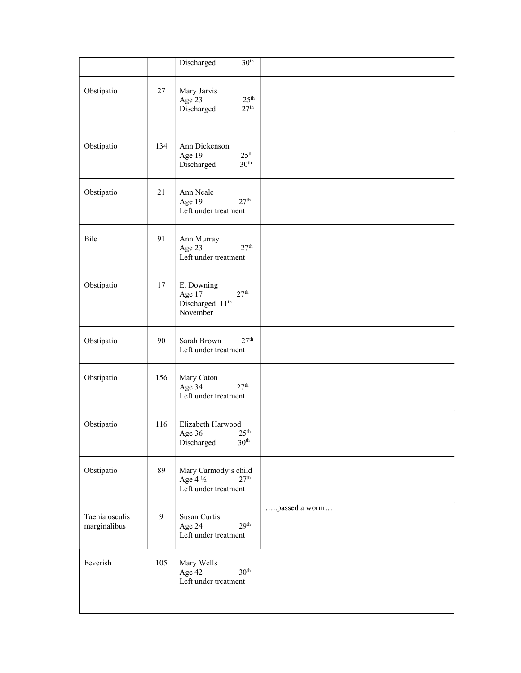|                                |     | 30 <sup>th</sup><br>Discharged                                                          |               |
|--------------------------------|-----|-----------------------------------------------------------------------------------------|---------------|
| Obstipatio                     | 27  | Mary Jarvis<br>25 <sup>th</sup><br>Age 23<br>27 <sup>th</sup><br>Discharged             |               |
| Obstipatio                     | 134 | Ann Dickenson<br>$25^{\text{th}}$<br>Age 19<br>30 <sup>th</sup><br>Discharged           |               |
| Obstipatio                     | 21  | Ann Neale<br>27 <sup>th</sup><br>Age 19<br>Left under treatment                         |               |
| Bile                           | 91  | Ann Murray<br>27 <sup>th</sup><br>Age 23<br>Left under treatment                        |               |
| Obstipatio                     | 17  | E. Downing<br>27 <sup>th</sup><br>Age 17<br>Discharged 11 <sup>th</sup><br>November     |               |
| Obstipatio                     | 90  | 27 <sup>th</sup><br>Sarah Brown<br>Left under treatment                                 |               |
| Obstipatio                     | 156 | Mary Caton<br>27 <sup>th</sup><br>Age 34<br>Left under treatment                        |               |
| Obstipatio                     | 116 | Elizabeth Harwood<br>25 <sup>th</sup><br>Age 36<br>30 <sup>th</sup><br>Discharged       |               |
| Obstipatio                     | 89  | Mary Carmody's child<br>27 <sup>th</sup><br>Age 4 $\frac{1}{2}$<br>Left under treatment |               |
| Taenia osculis<br>marginalibus | 9   | Susan Curtis<br>29 <sup>th</sup><br>Age 24<br>Left under treatment                      | passed a worm |
| Feverish                       | 105 | Mary Wells<br>Age 42<br>30 <sup>th</sup><br>Left under treatment                        |               |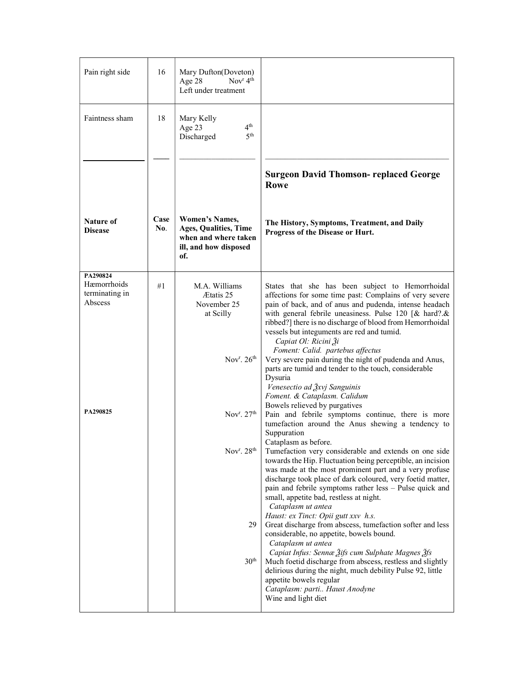| Pain right side                                      | 16          | Mary Dufton(Doveton)<br>Nov $r$ 4 <sup>th</sup><br>Age 28<br>Left under treatment                             |                                                                                                                                                                                                                                                                                                                                                                                                                                                                      |
|------------------------------------------------------|-------------|---------------------------------------------------------------------------------------------------------------|----------------------------------------------------------------------------------------------------------------------------------------------------------------------------------------------------------------------------------------------------------------------------------------------------------------------------------------------------------------------------------------------------------------------------------------------------------------------|
| Faintness sham                                       | 18          | Mary Kelly<br>4 <sup>th</sup><br>Age 23<br>5 <sup>th</sup><br>Discharged                                      |                                                                                                                                                                                                                                                                                                                                                                                                                                                                      |
|                                                      |             |                                                                                                               | <b>Surgeon David Thomson- replaced George</b><br>Rowe                                                                                                                                                                                                                                                                                                                                                                                                                |
| <b>Nature of</b><br><b>Disease</b>                   | Case<br>No. | <b>Women's Names,</b><br><b>Ages, Qualities, Time</b><br>when and where taken<br>ill, and how disposed<br>of. | The History, Symptoms, Treatment, and Daily<br>Progress of the Disease or Hurt.                                                                                                                                                                                                                                                                                                                                                                                      |
| PA290824<br>Hæmorrhoids<br>terminating in<br>Abscess | #1          | M.A. Williams<br>Ætatis 25<br>November 25<br>at Scilly                                                        | States that she has been subject to Hemorrhoidal<br>affections for some time past: Complains of very severe<br>pain of back, and of anus and pudenda, intense headach<br>with general febrile uneasiness. Pulse 120 [& hard?.&<br>ribbed?] there is no discharge of blood from Hemorrhoidal<br>vessels but integuments are red and tumid.<br>Capiat Ol: Ricini Ži<br>Foment: Calid. partebus affectus                                                                |
| PA290825                                             |             | Nov <sup>r</sup> . $26th$<br>Nov <sup>r</sup> . $27th$                                                        | Very severe pain during the night of pudenda and Anus,<br>parts are tumid and tender to the touch, considerable<br>Dysuria<br>Venesectio ad Žxvj Sanguinis<br>Foment. & Cataplasm. Calidum<br>Bowels relieved by purgatives<br>Pain and febrile symptoms continue, there is more                                                                                                                                                                                     |
|                                                      |             | Nov <sup>r</sup> . 28 <sup>th</sup>                                                                           | tumefaction around the Anus shewing a tendency to<br>Suppuration<br>Cataplasm as before.<br>Tumefaction very considerable and extends on one side<br>towards the Hip. Fluctuation being perceptible, an incision<br>was made at the most prominent part and a very profuse<br>discharge took place of dark coloured, very foetid matter,<br>pain and febrile symptoms rather less - Pulse quick and<br>small, appetite bad, restless at night.<br>Cataplasm ut antea |
|                                                      |             | 29<br>30 <sup>th</sup>                                                                                        | Haust: ex Tinct: Opii gutt xxv h.s.<br>Great discharge from abscess, tumefaction softer and less<br>considerable, no appetite, bowels bound.<br>Cataplasm ut antea<br>Capiat Infus: Sennæ Žifs cum Sulphate Magnes Žfs<br>Much foetid discharge from abscess, restless and slightly<br>delirious during the night, much debility Pulse 92, little<br>appetite bowels regular<br>Cataplasm: parti Haust Anodyne<br>Wine and light diet                                |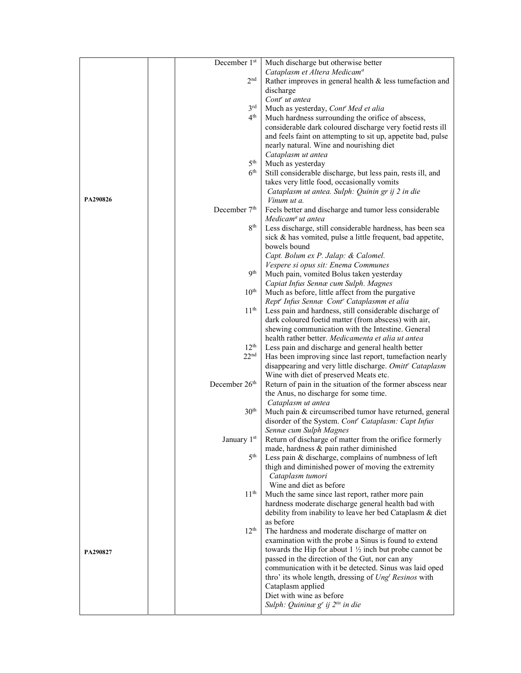|          | December 1st              | Much discharge but otherwise better                                                                           |
|----------|---------------------------|---------------------------------------------------------------------------------------------------------------|
|          |                           | Cataplasm et Altera Medicam <sup>a</sup>                                                                      |
|          | 2 <sub>nd</sub>           | Rather improves in general health & less tumefaction and                                                      |
|          |                           | discharge                                                                                                     |
|          |                           | Cont <sup>r</sup> ut antea                                                                                    |
|          | 3 <sup>rd</sup>           | Much as yesterday, Cont' Med et alia                                                                          |
|          | 4 <sup>th</sup>           | Much hardness surrounding the orifice of abscess,                                                             |
|          |                           | considerable dark coloured discharge very foetid rests ill                                                    |
|          |                           | and feels faint on attempting to sit up, appetite bad, pulse                                                  |
|          |                           | nearly natural. Wine and nourishing diet                                                                      |
|          |                           | Cataplasm ut antea                                                                                            |
|          | 5 <sup>th</sup>           | Much as yesterday                                                                                             |
|          | $6^{\rm th}$              | Still considerable discharge, but less pain, rests ill, and                                                   |
|          |                           | takes very little food, occasionally vomits                                                                   |
|          |                           | Cataplasm ut antea. Sulph: Quinin gr ij 2 in die                                                              |
| PA290826 |                           | Vinum ut a.                                                                                                   |
|          | December 7 <sup>th</sup>  | Feels better and discharge and tumor less considerable                                                        |
|          |                           | Medicam <sup>a</sup> ut antea                                                                                 |
|          | 8 <sup>th</sup>           | Less discharge, still considerable hardness, has been sea                                                     |
|          |                           | sick & has vomited, pulse a little frequent, bad appetite,                                                    |
|          |                           | bowels bound                                                                                                  |
|          |                           | Capt. Bolum ex P. Jalap: & Calomel.<br>Vespere si opus sit: Enema Communes                                    |
|          | <b>9th</b>                | Much pain, vomited Bolus taken yesterday                                                                      |
|          |                           | Capiat Infus Sennæ cum Sulph. Magnes                                                                          |
|          | 10 <sup>th</sup>          | Much as before, little affect from the purgative                                                              |
|          |                           | Rept' Infus Sennæ Cont' Cataplasmm et alia                                                                    |
|          | 11 <sup>th</sup>          | Less pain and hardness, still considerable discharge of                                                       |
|          |                           | dark coloured foetid matter (from abscess) with air,                                                          |
|          |                           | shewing communication with the Intestine. General                                                             |
|          |                           | health rather better. Medicamenta et alia ut antea                                                            |
|          | 12 <sup>th</sup>          | Less pain and discharge and general health better                                                             |
|          | 22 <sup>nd</sup>          | Has been improving since last report, tumefaction nearly                                                      |
|          |                           | disappearing and very little discharge. Omitt' Cataplasm                                                      |
|          |                           | Wine with diet of preserved Meats etc.                                                                        |
|          | December 26 <sup>th</sup> | Return of pain in the situation of the former abscess near                                                    |
|          |                           | the Anus, no discharge for some time.                                                                         |
|          | 30 <sup>th</sup>          | Cataplasm ut antea                                                                                            |
|          |                           | Much pain & circumscribed tumor have returned, general<br>disorder of the System. Cont" Cataplasm: Capt Infus |
|          |                           | Sennæ cum Sulph Magnes                                                                                        |
|          | January 1 <sup>st</sup>   | Return of discharge of matter from the orifice formerly                                                       |
|          |                           | made, hardness & pain rather diminished                                                                       |
|          | 5 <sup>th</sup>           | Less pain & discharge, complains of numbness of left                                                          |
|          |                           | thigh and diminished power of moving the extremity                                                            |
|          |                           | Cataplasm tumori                                                                                              |
|          |                           | Wine and diet as before                                                                                       |
|          | 11 <sup>th</sup>          | Much the same since last report, rather more pain                                                             |
|          |                           | hardness moderate discharge general health bad with                                                           |
|          |                           | debility from inability to leave her bed Cataplasm & diet                                                     |
|          |                           | as before                                                                                                     |
|          | 12 <sup>th</sup>          | The hardness and moderate discharge of matter on                                                              |
|          |                           | examination with the probe a Sinus is found to extend                                                         |
| PA290827 |                           | towards the Hip for about $1\frac{1}{2}$ inch but probe cannot be                                             |
|          |                           | passed in the direction of the Gut, nor can any<br>communication with it be detected. Sinus was laid oped     |
|          |                           | thro' its whole length, dressing of Ung <sup>t</sup> Resinos with                                             |
|          |                           | Cataplasm applied                                                                                             |
|          |                           | Diet with wine as before                                                                                      |
|          |                           | Sulph: Quininæ g' ij 2 <sup>tis</sup> in die                                                                  |
|          |                           |                                                                                                               |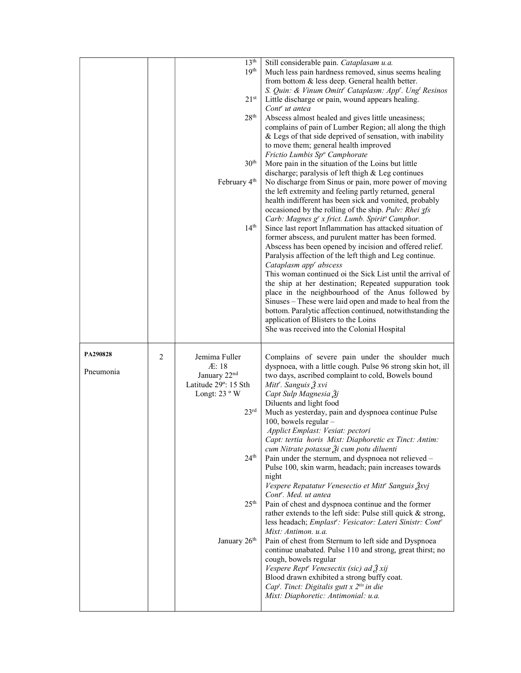|                       |   | 13 <sup>th</sup><br>19 <sup>th</sup><br>21 <sup>st</sup><br>28 <sup>th</sup><br>30 <sup>th</sup><br>February 4 <sup>th</sup><br>14 <sup>th</sup>                                     | Still considerable pain. Cataplasam u.a.<br>Much less pain hardness removed, sinus seems healing<br>from bottom & less deep. General health better.<br>S. Quin: & Vinum Omitt' Cataplasm: App'. Ung <sup>t</sup> Resinos<br>Little discharge or pain, wound appears healing.<br>Cont <sup>r</sup> ut antea<br>Abscess almost healed and gives little uneasiness;<br>complains of pain of Lumber Region; all along the thigh<br>& Legs of that side deprived of sensation, with inability<br>to move them; general health improved<br>Frictio Lumbis Sp <sup>o</sup> Camphorate<br>More pain in the situation of the Loins but little<br>discharge; paralysis of left thigh & Leg continues<br>No discharge from Sinus or pain, more power of moving<br>the left extremity and feeling partly returned, general<br>health indifferent has been sick and vomited, probably<br>occasioned by the rolling of the ship. Pulv: Rhei zfs<br>Carb: Magnes g' x frict. Lumb. Spirit <sup>o</sup> Camphor.<br>Since last report Inflammation has attacked situation of<br>former abscess, and purulent matter has been formed.<br>Abscess has been opened by incision and offered relief.<br>Paralysis affection of the left thigh and Leg continue.<br>Cataplasm app' abscess<br>This woman continued oi the Sick List until the arrival of<br>the ship at her destination; Repeated suppuration took<br>place in the neighbourhood of the Anus followed by<br>Sinuses - These were laid open and made to heal from the<br>bottom. Paralytic affection continued, notwithstanding the<br>application of Blisters to the Loins<br>She was received into the Colonial Hospital |
|-----------------------|---|--------------------------------------------------------------------------------------------------------------------------------------------------------------------------------------|---------------------------------------------------------------------------------------------------------------------------------------------------------------------------------------------------------------------------------------------------------------------------------------------------------------------------------------------------------------------------------------------------------------------------------------------------------------------------------------------------------------------------------------------------------------------------------------------------------------------------------------------------------------------------------------------------------------------------------------------------------------------------------------------------------------------------------------------------------------------------------------------------------------------------------------------------------------------------------------------------------------------------------------------------------------------------------------------------------------------------------------------------------------------------------------------------------------------------------------------------------------------------------------------------------------------------------------------------------------------------------------------------------------------------------------------------------------------------------------------------------------------------------------------------------------------------------------------------------------------------------------------------------------------|
|                       |   |                                                                                                                                                                                      |                                                                                                                                                                                                                                                                                                                                                                                                                                                                                                                                                                                                                                                                                                                                                                                                                                                                                                                                                                                                                                                                                                                                                                                                                                                                                                                                                                                                                                                                                                                                                                                                                                                                     |
| PA290828<br>Pneumonia | 2 | Jemima Fuller<br>AE:18<br>January 22 <sup>nd</sup><br>Latitude 29°: 15 Sth<br>Longt: $23°$ W<br>23 <sup>rd</sup><br>24 <sup>th</sup><br>25 <sup>th</sup><br>January 26 <sup>th</sup> | Complains of severe pain under the shoulder much<br>dyspnoea, with a little cough. Pulse 96 strong skin hot, ill<br>two days, ascribed complaint to cold, Bowels bound<br>Mitt'. Sanguis 3 xvi<br>Capt Sulp Magnesia 3j<br>Diluents and light food<br>Much as yesterday, pain and dyspnoea continue Pulse<br>100, bowels regular -<br>Applict Emplast: Vesiat: pectori<br>Capt: tertia horis Mixt: Diaphoretic ex Tinct: Antim:<br>cum Nitrate potassæ Ži cum potu diluenti<br>Pain under the sternum, and dyspnoea not relieved -<br>Pulse 100, skin warm, headach; pain increases towards<br>night<br>Vespere Repatatur Venesectio et Mitt <sup>r</sup> Sanguis Žxvj<br>Cont <sup>r</sup> . Med. ut antea<br>Pain of chest and dyspnoea continue and the former<br>rather extends to the left side: Pulse still quick & strong,<br>less headach; Emplast <sup>r</sup> : Vesicator: Lateri Sinistr: Contr<br>Mixt: Antimon. u.a.<br>Pain of chest from Sternum to left side and Dyspnoea<br>continue unabated. Pulse 110 and strong, great thirst; no<br>cough, bowels regular<br>Vespere Rept <sup>r</sup> Venesectix (sic) ad 3 xij<br>Blood drawn exhibited a strong buffy coat.<br>Cap <sup>t</sup> . Tinct: Digitalis gutt x 2 <sup>tis</sup> in die<br>Mixt: Diaphoretic: Antimonial: u.a.                                                                                                                                                                                                                                                                                                                                                                   |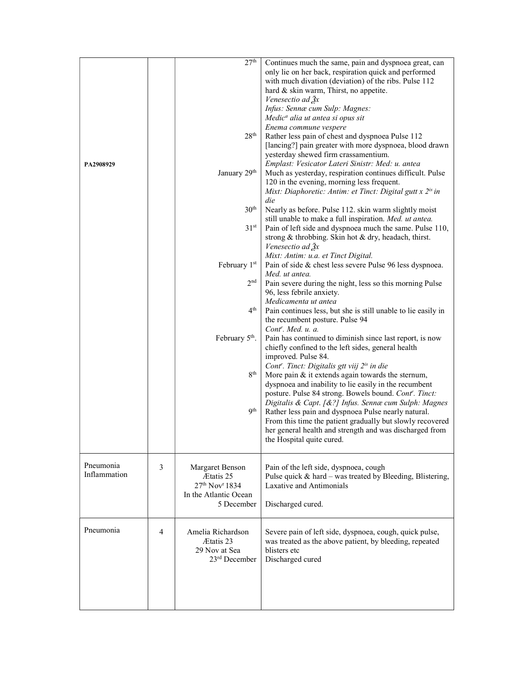| PA2908929                 |   | 27 <sup>th</sup><br>28 <sup>th</sup><br>January 29 <sup>th</sup><br>30 <sup>th</sup><br>31 <sup>st</sup><br>February 1st<br>2 <sup>nd</sup><br>4 <sup>th</sup><br>February 5 <sup>th</sup> .<br>$8^{\rm th}$<br>9 <sup>th</sup> | Continues much the same, pain and dyspnoea great, can<br>only lie on her back, respiration quick and performed<br>with much divation (deviation) of the ribs. Pulse 112<br>hard & skin warm, Thirst, no appetite.<br>Venesectio ad $\frac{3}{2}x$<br>Infus: Sennæ cum Sulp: Magnes:<br>Medic <sup>a</sup> alia ut antea si opus sit<br>Enema commune vespere<br>Rather less pain of chest and dyspnoea Pulse 112<br>[lancing?] pain greater with more dyspnoea, blood drawn<br>yesterday shewed firm crassamentium.<br>Emplast: Vesicator Lateri Sinistr: Med: u. antea<br>Much as yesterday, respiration continues difficult. Pulse<br>120 in the evening, morning less frequent.<br>Mixt: Diaphoretic: Antim: et Tinct: Digital gutt x 2 <sup>is</sup> in<br>die<br>Nearly as before. Pulse 112. skin warm slightly moist<br>still unable to make a full inspiration. Med. ut antea.<br>Pain of left side and dyspnoea much the same. Pulse 110,<br>strong & throbbing. Skin hot & dry, headach, thirst.<br>Venesectio ad $\frac{3}{2}x$<br>Mixt: Antim: u.a. et Tinct Digital.<br>Pain of side & chest less severe Pulse 96 less dyspnoea.<br>Med. ut antea.<br>Pain severe during the night, less so this morning Pulse<br>96, less febrile anxiety.<br>Medicamenta ut antea<br>Pain continues less, but she is still unable to lie easily in<br>the recumbent posture. Pulse 94<br>Cont <sup>r</sup> . Med. u. a.<br>Pain has continued to diminish since last report, is now<br>chiefly confined to the left sides, general health<br>improved. Pulse 84.<br>Cont <sup>r</sup> . Tinct: Digitalis gtt viij 2 <sup>is</sup> in die<br>More pain $&$ it extends again towards the sternum,<br>dyspnoea and inability to lie easily in the recumbent<br>posture. Pulse 84 strong. Bowels bound. Cont'. Tinct:<br>Digitalis & Capt. [&?] Infus. Sennæ cum Sulph: Magnes<br>Rather less pain and dyspnoea Pulse nearly natural.<br>From this time the patient gradually but slowly recovered<br>her general health and strength and was discharged from<br>the Hospital quite cured. |
|---------------------------|---|---------------------------------------------------------------------------------------------------------------------------------------------------------------------------------------------------------------------------------|---------------------------------------------------------------------------------------------------------------------------------------------------------------------------------------------------------------------------------------------------------------------------------------------------------------------------------------------------------------------------------------------------------------------------------------------------------------------------------------------------------------------------------------------------------------------------------------------------------------------------------------------------------------------------------------------------------------------------------------------------------------------------------------------------------------------------------------------------------------------------------------------------------------------------------------------------------------------------------------------------------------------------------------------------------------------------------------------------------------------------------------------------------------------------------------------------------------------------------------------------------------------------------------------------------------------------------------------------------------------------------------------------------------------------------------------------------------------------------------------------------------------------------------------------------------------------------------------------------------------------------------------------------------------------------------------------------------------------------------------------------------------------------------------------------------------------------------------------------------------------------------------------------------------------------------------------------------------------------------------------------------------------------------------------------------------------------------|
| Pneumonia<br>Inflammation | 3 | Margaret Benson<br>Ætatis 25<br>27 <sup>th</sup> Nov <sup>r</sup> 1834<br>In the Atlantic Ocean<br>5 December                                                                                                                   | Pain of the left side, dyspnoea, cough<br>Pulse quick & hard - was treated by Bleeding, Blistering,<br>Laxative and Antimonials<br>Discharged cured.                                                                                                                                                                                                                                                                                                                                                                                                                                                                                                                                                                                                                                                                                                                                                                                                                                                                                                                                                                                                                                                                                                                                                                                                                                                                                                                                                                                                                                                                                                                                                                                                                                                                                                                                                                                                                                                                                                                                  |
| Pneumonia                 | 4 | Amelia Richardson<br>Ætatis 23<br>29 Nov at Sea<br>23 <sup>rd</sup> December                                                                                                                                                    | Severe pain of left side, dyspnoea, cough, quick pulse,<br>was treated as the above patient, by bleeding, repeated<br>blisters etc<br>Discharged cured                                                                                                                                                                                                                                                                                                                                                                                                                                                                                                                                                                                                                                                                                                                                                                                                                                                                                                                                                                                                                                                                                                                                                                                                                                                                                                                                                                                                                                                                                                                                                                                                                                                                                                                                                                                                                                                                                                                                |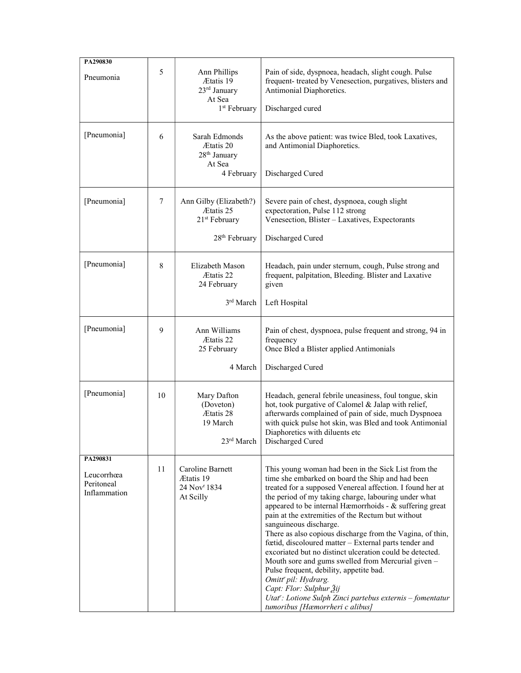| PA290830<br>Pneumonia<br>[Pneumonia]                 | 5<br>6 | Ann Phillips<br>Ætatis 19<br>23 <sup>rd</sup> January<br>At Sea<br>1 <sup>st</sup> February<br>Sarah Edmonds<br>Ætatis 20<br>28 <sup>th</sup> January<br>At Sea<br>4 February | Pain of side, dyspnoea, headach, slight cough. Pulse<br>frequent- treated by Venesection, purgatives, blisters and<br>Antimonial Diaphoretics.<br>Discharged cured<br>As the above patient: was twice Bled, took Laxatives,<br>and Antimonial Diaphoretics.<br>Discharged Cured                                                                                                                                                                                                                                                                                                                                                                                                                                                                                                                              |
|------------------------------------------------------|--------|-------------------------------------------------------------------------------------------------------------------------------------------------------------------------------|--------------------------------------------------------------------------------------------------------------------------------------------------------------------------------------------------------------------------------------------------------------------------------------------------------------------------------------------------------------------------------------------------------------------------------------------------------------------------------------------------------------------------------------------------------------------------------------------------------------------------------------------------------------------------------------------------------------------------------------------------------------------------------------------------------------|
| [Pneumonia]                                          | 7      | Ann Gilby (Elizabeth?)<br>Ætatis 25<br>21 <sup>st</sup> February<br>28 <sup>th</sup> February                                                                                 | Severe pain of chest, dyspnoea, cough slight<br>expectoration, Pulse 112 strong<br>Venesection, Blister - Laxatives, Expectorants<br>Discharged Cured                                                                                                                                                                                                                                                                                                                                                                                                                                                                                                                                                                                                                                                        |
| [Pneumonia]                                          | 8      | Elizabeth Mason<br>Ætatis 22<br>24 February<br>3rd March                                                                                                                      | Headach, pain under sternum, cough, Pulse strong and<br>frequent, palpitation, Bleeding. Blister and Laxative<br>given<br>Left Hospital                                                                                                                                                                                                                                                                                                                                                                                                                                                                                                                                                                                                                                                                      |
| [Pneumonia]                                          | 9      | Ann Williams<br>Ætatis 22<br>25 February<br>4 March                                                                                                                           | Pain of chest, dyspnoea, pulse frequent and strong, 94 in<br>frequency<br>Once Bled a Blister applied Antimonials<br>Discharged Cured                                                                                                                                                                                                                                                                                                                                                                                                                                                                                                                                                                                                                                                                        |
| [Pneumonia]                                          | 10     | Mary Dafton<br>(Doveton)<br>Ætatis 28<br>19 March<br>23rd March                                                                                                               | Headach, general febrile uneasiness, foul tongue, skin<br>hot, took purgative of Calomel & Jalap with relief,<br>afterwards complained of pain of side, much Dyspnoea<br>with quick pulse hot skin, was Bled and took Antimonial<br>Diaphoretics with diluents etc<br>Discharged Cured                                                                                                                                                                                                                                                                                                                                                                                                                                                                                                                       |
| PA290831<br>Leucorrhœa<br>Peritoneal<br>Inflammation | 11     | Caroline Barnett<br>Ætatis 19<br>24 Nov <sup>r</sup> 1834<br>At Scilly                                                                                                        | This young woman had been in the Sick List from the<br>time she embarked on board the Ship and had been<br>treated for a supposed Venereal affection. I found her at<br>the period of my taking charge, labouring under what<br>appeared to be internal Hæmorrhoids - & suffering great<br>pain at the extremities of the Rectum but without<br>sanguineous discharge.<br>There as also copious discharge from the Vagina, of thin,<br>fœtid, discoloured matter - External parts tender and<br>excoriated but no distinct ulceration could be detected.<br>Mouth sore and gums swelled from Mercurial given -<br>Pulse frequent, debility, appetite bad.<br>Omitt' pil: Hydrarg.<br>Capt: Flor: Sulphur 3ij<br>Utat': Lotione Sulph Zinci partebus externis - fomentatur<br>tumoribus [Hæmorrheri c alibus] |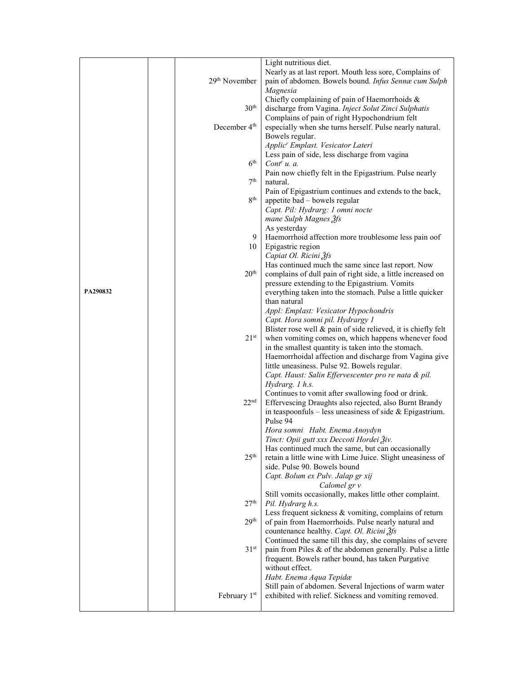|          |  |                           | Light nutritious diet.                                        |  |  |  |
|----------|--|---------------------------|---------------------------------------------------------------|--|--|--|
|          |  |                           | Nearly as at last report. Mouth less sore, Complains of       |  |  |  |
|          |  | 29 <sup>th</sup> November | pain of abdomen. Bowels bound. Infus Sennæ cum Sulph          |  |  |  |
|          |  |                           |                                                               |  |  |  |
|          |  |                           | Magnesia                                                      |  |  |  |
|          |  |                           | Chiefly complaining of pain of Haemorrhoids &                 |  |  |  |
|          |  | 30 <sup>th</sup>          | discharge from Vagina. Inject Solut Zinci Sulphatis           |  |  |  |
|          |  |                           | Complains of pain of right Hypochondrium felt                 |  |  |  |
|          |  | December 4 <sup>th</sup>  | especially when she turns herself. Pulse nearly natural.      |  |  |  |
|          |  |                           | Bowels regular.                                               |  |  |  |
|          |  |                           | Applic <sup>r</sup> Emplast. Vesicator Lateri                 |  |  |  |
|          |  |                           | Less pain of side, less discharge from vagina                 |  |  |  |
|          |  | 6 <sup>th</sup>           | Cont <sup>r</sup> u. a.                                       |  |  |  |
|          |  |                           | Pain now chiefly felt in the Epigastrium. Pulse nearly        |  |  |  |
|          |  | 7 <sup>th</sup>           | natural.                                                      |  |  |  |
|          |  |                           | Pain of Epigastrium continues and extends to the back,        |  |  |  |
|          |  | 8 <sup>th</sup>           | appetite bad - bowels regular                                 |  |  |  |
|          |  |                           | Capt. Pil: Hydrarg: 1 omni nocte                              |  |  |  |
|          |  |                           | mane Sulph Magnes 3fs                                         |  |  |  |
|          |  |                           | As yesterday                                                  |  |  |  |
|          |  |                           | 9   Haemorrhoid affection more troublesome less pain oof      |  |  |  |
|          |  |                           |                                                               |  |  |  |
|          |  | 10                        | Epigastric region                                             |  |  |  |
|          |  |                           | Capiat Ol. Ricini 3fs                                         |  |  |  |
|          |  |                           | Has continued much the same since last report. Now            |  |  |  |
|          |  | 20 <sup>th</sup>          | complains of dull pain of right side, a little increased on   |  |  |  |
| PA290832 |  |                           | pressure extending to the Epigastrium. Vomits                 |  |  |  |
|          |  |                           | everything taken into the stomach. Pulse a little quicker     |  |  |  |
|          |  |                           | than natural                                                  |  |  |  |
|          |  |                           | Appl: Emplast: Vesicator Hypochondris                         |  |  |  |
|          |  |                           | Capt. Hora somni pil. Hydrargy 1                              |  |  |  |
|          |  |                           | Blister rose well & pain of side relieved, it is chiefly felt |  |  |  |
|          |  | 21 <sup>st</sup>          | when vomiting comes on, which happens whenever food           |  |  |  |
|          |  |                           | in the smallest quantity is taken into the stomach.           |  |  |  |
|          |  |                           | Haemorrhoidal affection and discharge from Vagina give        |  |  |  |
|          |  |                           | little uneasiness. Pulse 92. Bowels regular.                  |  |  |  |
|          |  |                           | Capt. Haust: Salin Effervescenter pro re nata & pil.          |  |  |  |
|          |  |                           | Hydrarg. 1 h.s.                                               |  |  |  |
|          |  |                           | Continues to vomit after swallowing food or drink.            |  |  |  |
|          |  | 22 <sup>nd</sup>          | Effervescing Draughts also rejected, also Burnt Brandy        |  |  |  |
|          |  |                           | in teaspoonfuls – less uneasiness of side $&$ Epigastrium.    |  |  |  |
|          |  |                           | Pulse 94                                                      |  |  |  |
|          |  |                           | Hora somni Habt. Enema Anoydyn                                |  |  |  |
|          |  |                           | Tinct: Opii gutt xxx Deccoti Hordei 3iv.                      |  |  |  |
|          |  |                           | Has continued much the same, but can occasionally             |  |  |  |
|          |  | 25 <sup>th</sup>          | retain a little wine with Lime Juice. Slight uneasiness of    |  |  |  |
|          |  |                           | side. Pulse 90. Bowels bound                                  |  |  |  |
|          |  |                           | Capt. Bolum ex Pulv. Jalap gr xij                             |  |  |  |
|          |  |                           | Calomel gr v                                                  |  |  |  |
|          |  |                           | Still vomits occasionally, makes little other complaint.      |  |  |  |
|          |  | 27 <sup>th</sup>          | Pil. Hydrarg h.s.                                             |  |  |  |
|          |  |                           | Less frequent sickness & vomiting, complains of return        |  |  |  |
|          |  | 29 <sup>th</sup>          | of pain from Haemorrhoids. Pulse nearly natural and           |  |  |  |
|          |  |                           | countenance healthy. Capt. Ol. Ricini 3fs                     |  |  |  |
|          |  |                           | Continued the same till this day, she complains of severe     |  |  |  |
|          |  | 31 <sup>st</sup>          | pain from Piles & of the abdomen generally. Pulse a little    |  |  |  |
|          |  |                           | frequent. Bowels rather bound, has taken Purgative            |  |  |  |
|          |  |                           | without effect.                                               |  |  |  |
|          |  |                           | Habt. Enema Aqua Tepidæ                                       |  |  |  |
|          |  |                           |                                                               |  |  |  |
|          |  |                           | Still pain of abdomen. Several Injections of warm water       |  |  |  |
|          |  | February 1 <sup>st</sup>  | exhibited with relief. Sickness and vomiting removed.         |  |  |  |
|          |  |                           |                                                               |  |  |  |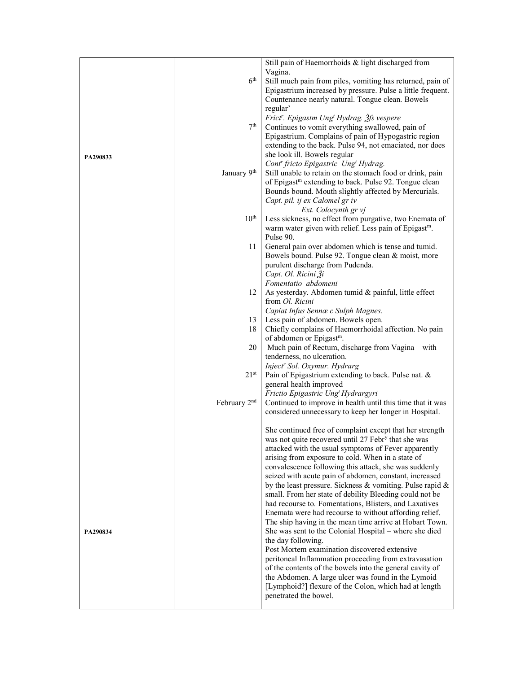|          |                          | Still pain of Haemorrhoids & light discharged from                |
|----------|--------------------------|-------------------------------------------------------------------|
|          |                          | Vagina.                                                           |
|          | 6 <sup>th</sup>          | Still much pain from piles, vomiting has returned, pain of        |
|          |                          | Epigastrium increased by pressure. Pulse a little frequent.       |
|          |                          | Countenance nearly natural. Tongue clean. Bowels                  |
|          |                          | regular'                                                          |
|          |                          | Frict'. Epigastm Ung <sup>t</sup> Hydrag. 3fs vespere             |
|          | 7 <sup>th</sup>          | Continues to vomit everything swallowed, pain of                  |
|          |                          | Epigastrium. Complains of pain of Hypogastric region              |
|          |                          | extending to the back. Pulse 94, not emaciated, nor does          |
|          |                          | she look ill. Bowels regular                                      |
| PA290833 |                          | Cont' fricto Epigastric Ung <sup>t</sup> Hydrag.                  |
|          | January 9th              | Still unable to retain on the stomach food or drink, pain         |
|          |                          |                                                                   |
|          |                          | of Epigast <sup>m</sup> extending to back. Pulse 92. Tongue clean |
|          |                          | Bounds bound. Mouth slightly affected by Mercurials.              |
|          |                          | Capt. pil. ij ex Calomel gr iv                                    |
|          |                          | Ext. Colocynth gr vj                                              |
|          | $10^{\text{th}}$         | Less sickness, no effect from purgative, two Enemata of           |
|          |                          | warm water given with relief. Less pain of Epigast <sup>m</sup> . |
|          |                          | Pulse 90.                                                         |
|          | 11                       | General pain over abdomen which is tense and tumid.               |
|          |                          | Bowels bound. Pulse 92. Tongue clean & moist, more                |
|          |                          | purulent discharge from Pudenda.                                  |
|          |                          | Capt. Ol. Ricini Ži                                               |
|          |                          | Fomentatio abdomeni                                               |
|          | 12                       | As yesterday. Abdomen tumid & painful, little effect              |
|          |                          | from Ol. Ricini                                                   |
|          |                          | Capiat Infus Sennæ c Sulph Magnes.                                |
|          | 13                       | Less pain of abdomen. Bowels open.                                |
|          | 18                       | Chiefly complains of Haemorrhoidal affection. No pain             |
|          |                          | of abdomen or Epigast <sup>m</sup> .                              |
|          | 20                       | Much pain of Rectum, discharge from Vagina with                   |
|          |                          | tenderness, no ulceration.                                        |
|          |                          | Inject' Sol. Oxymur. Hydrarg                                      |
|          | $21^{st}$                | Pain of Epigastrium extending to back. Pulse nat. &               |
|          |                          | general health improved                                           |
|          |                          | Frictio Epigastric Ung <sup>t</sup> Hydrargyri                    |
|          | February 2 <sup>nd</sup> | Continued to improve in health until this time that it was        |
|          |                          | considered unnecessary to keep her longer in Hospital.            |
|          |                          |                                                                   |
|          |                          | She continued free of complaint except that her strength          |
|          |                          | was not quite recovered until 27 Febr <sup>y</sup> that she was   |
|          |                          | attacked with the usual symptoms of Fever apparently              |
|          |                          | arising from exposure to cold. When in a state of                 |
|          |                          | convalescence following this attack, she was suddenly             |
|          |                          | seized with acute pain of abdomen, constant, increased            |
|          |                          | by the least pressure. Sickness & vomiting. Pulse rapid &         |
|          |                          | small. From her state of debility Bleeding could not be           |
|          |                          | had recourse to. Fomentations, Blisters, and Laxatives            |
|          |                          | Enemata were had recourse to without affording relief.            |
|          |                          | The ship having in the mean time arrive at Hobart Town.           |
| PA290834 |                          | She was sent to the Colonial Hospital - where she died            |
|          |                          | the day following.                                                |
|          |                          | Post Mortem examination discovered extensive                      |
|          |                          | peritoneal Inflammation proceeding from extravasation             |
|          |                          | of the contents of the bowels into the general cavity of          |
|          |                          | the Abdomen. A large ulcer was found in the Lymoid                |
|          |                          | [Lymphoid?] flexure of the Colon, which had at length             |
|          |                          | penetrated the bowel.                                             |
|          |                          |                                                                   |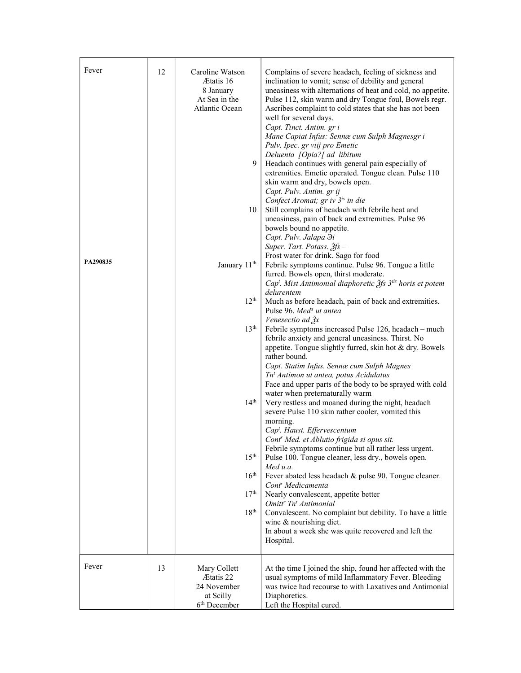| Fever<br>PA290835 | 12 | Caroline Watson<br>Ætatis 16<br>8 January<br>At Sea in the<br>Atlantic Ocean<br>9<br>10<br>January 11 <sup>th</sup><br>12 <sup>th</sup><br>13 <sup>th</sup><br>14 <sup>th</sup><br>15 <sup>th</sup><br>16 <sup>th</sup><br>17 <sup>th</sup> | Complains of severe headach, feeling of sickness and<br>inclination to vomit; sense of debility and general<br>uneasiness with alternations of heat and cold, no appetite.<br>Pulse 112, skin warm and dry Tongue foul, Bowels regr.<br>Ascribes complaint to cold states that she has not been<br>well for several days.<br>Capt. Tinct. Antim. gr i<br>Mane Capiat Infus: Sennæ cum Sulph Magnesgr i<br>Pulv. Ipec. gr viij pro Emetic<br>Deluenta [Opia?] ad libitum<br>Headach continues with general pain especially of<br>extremities. Emetic operated. Tongue clean. Pulse 110<br>skin warm and dry, bowels open.<br>Capt. Pulv. Antim. gr ij<br>Confect Aromat; gr iv 3 <sup>is</sup> in die<br>Still complains of headach with febrile heat and<br>uneasiness, pain of back and extremities. Pulse 96<br>bowels bound no appetite.<br>Capt. Pulv. Jalapa $\partial i$<br>Super. Tart. Potass. $2fs -$<br>Frost water for drink. Sago for food<br>Febrile symptoms continue. Pulse 96. Tongue a little<br>furred. Bowels open, thirst moderate.<br>Cap <sup>t</sup> . Mist Antimonial diaphoretic 2fs 3 <sup>tis</sup> horis et potem<br>delurentem<br>Much as before headach, pain of back and extremities.<br>Pulse 96. Med <sup>a</sup> ut antea<br>Venesectio ad $\frac{3}{2}x$<br>Febrile symptoms increased Pulse 126, headach - much<br>febrile anxiety and general uneasiness. Thirst. No<br>appetite. Tongue slightly furred, skin hot & dry. Bowels<br>rather bound.<br>Capt. Statim Infus. Sennæ cum Sulph Magnes<br>Tn <sup>t</sup> Antimon ut antea, potus Acidulatus<br>Face and upper parts of the body to be sprayed with cold<br>water when preternaturally warm<br>Very restless and moaned during the night, headach<br>severe Pulse 110 skin rather cooler, vomited this<br>morning.<br>Cap <sup>t</sup> . Haust. Effervescentum<br>Cont' Med. et Ablutio frigida si opus sit.<br>Febrile symptoms continue but all rather less urgent.<br>Pulse 100. Tongue cleaner, less dry., bowels open.<br>Med $u.a$ .<br>Fever abated less headach & pulse 90. Tongue cleaner.<br>Cont <sup>r</sup> Medicamenta<br>Nearly convalescent, appetite better<br>Omitt <sup>r</sup> Tn <sup>t</sup> Antimonial |
|-------------------|----|---------------------------------------------------------------------------------------------------------------------------------------------------------------------------------------------------------------------------------------------|-----------------------------------------------------------------------------------------------------------------------------------------------------------------------------------------------------------------------------------------------------------------------------------------------------------------------------------------------------------------------------------------------------------------------------------------------------------------------------------------------------------------------------------------------------------------------------------------------------------------------------------------------------------------------------------------------------------------------------------------------------------------------------------------------------------------------------------------------------------------------------------------------------------------------------------------------------------------------------------------------------------------------------------------------------------------------------------------------------------------------------------------------------------------------------------------------------------------------------------------------------------------------------------------------------------------------------------------------------------------------------------------------------------------------------------------------------------------------------------------------------------------------------------------------------------------------------------------------------------------------------------------------------------------------------------------------------------------------------------------------------------------------------------------------------------------------------------------------------------------------------------------------------------------------------------------------------------------------------------------------------------------------------------------------------------------------------------------------------------------------------------------------------------------------------------------------------------------------------|
|                   |    | 18 <sup>th</sup>                                                                                                                                                                                                                            | Convalescent. No complaint but debility. To have a little<br>wine & nourishing diet.<br>In about a week she was quite recovered and left the<br>Hospital.                                                                                                                                                                                                                                                                                                                                                                                                                                                                                                                                                                                                                                                                                                                                                                                                                                                                                                                                                                                                                                                                                                                                                                                                                                                                                                                                                                                                                                                                                                                                                                                                                                                                                                                                                                                                                                                                                                                                                                                                                                                                   |
| Fever             | 13 | Mary Collett<br>Ætatis 22<br>24 November<br>at Scilly<br>6 <sup>th</sup> December                                                                                                                                                           | At the time I joined the ship, found her affected with the<br>usual symptoms of mild Inflammatory Fever. Bleeding<br>was twice had recourse to with Laxatives and Antimonial<br>Diaphoretics.<br>Left the Hospital cured.                                                                                                                                                                                                                                                                                                                                                                                                                                                                                                                                                                                                                                                                                                                                                                                                                                                                                                                                                                                                                                                                                                                                                                                                                                                                                                                                                                                                                                                                                                                                                                                                                                                                                                                                                                                                                                                                                                                                                                                                   |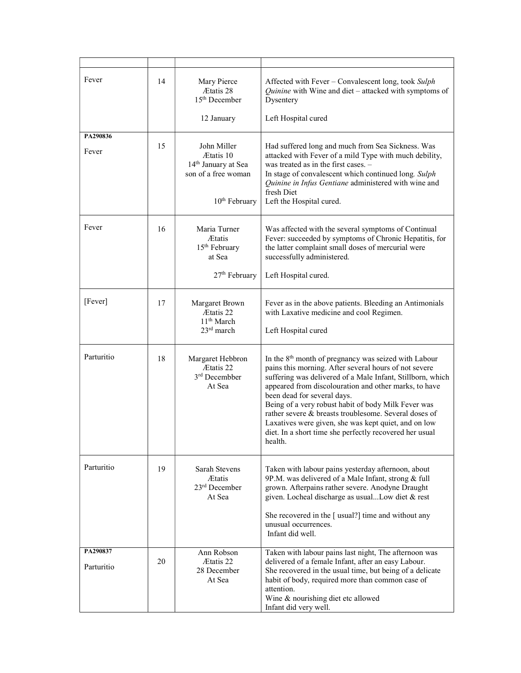| Fever                  | 14 | Mary Pierce<br><b>Ætatis</b> 28<br>$15th$ December<br>12 January                                                | Affected with Fever – Convalescent long, took Sulph<br>Quinine with Wine and diet – attacked with symptoms of<br>Dysentery<br>Left Hospital cured                                                                                                                                                                                                                                                                                                                                                                             |  |  |  |
|------------------------|----|-----------------------------------------------------------------------------------------------------------------|-------------------------------------------------------------------------------------------------------------------------------------------------------------------------------------------------------------------------------------------------------------------------------------------------------------------------------------------------------------------------------------------------------------------------------------------------------------------------------------------------------------------------------|--|--|--|
| PA290836               |    |                                                                                                                 |                                                                                                                                                                                                                                                                                                                                                                                                                                                                                                                               |  |  |  |
| Fever                  | 15 | John Miller<br>Ætatis 10<br>14 <sup>th</sup> January at Sea<br>son of a free woman<br>10 <sup>th</sup> February | Had suffered long and much from Sea Sickness. Was<br>attacked with Fever of a mild Type with much debility,<br>was treated as in the first cases. -<br>In stage of convalescent which continued long. Sulph<br>Quinine in Infus Gentiane administered with wine and<br>fresh Diet<br>Left the Hospital cured.                                                                                                                                                                                                                 |  |  |  |
| Fever                  | 16 | Maria Turner<br><b>Ætatis</b><br>15 <sup>th</sup> February<br>at Sea<br>27 <sup>th</sup> February               | Was affected with the several symptoms of Continual<br>Fever: succeeded by symptoms of Chronic Hepatitis, for<br>the latter complaint small doses of mercurial were<br>successfully administered.                                                                                                                                                                                                                                                                                                                             |  |  |  |
|                        |    |                                                                                                                 | Left Hospital cured.                                                                                                                                                                                                                                                                                                                                                                                                                                                                                                          |  |  |  |
| [Fever]                | 17 | Margaret Brown<br>Ætatis 22<br>11 <sup>th</sup> March<br>$23rd$ march                                           | Fever as in the above patients. Bleeding an Antimonials<br>with Laxative medicine and cool Regimen.<br>Left Hospital cured                                                                                                                                                                                                                                                                                                                                                                                                    |  |  |  |
| Parturitio             | 18 | Margaret Hebbron<br>Ætatis 22<br>3 <sup>rd</sup> Decembber<br>At Sea                                            | In the 8 <sup>th</sup> month of pregnancy was seized with Labour<br>pains this morning. After several hours of not severe<br>suffering was delivered of a Male Infant, Stillborn, which<br>appeared from discolouration and other marks, to have<br>been dead for several days.<br>Being of a very robust habit of body Milk Fever was<br>rather severe & breasts troublesome. Several doses of<br>Laxatives were given, she was kept quiet, and on low<br>diet. In a short time she perfectly recovered her usual<br>health. |  |  |  |
| Parturitio             | 19 | Sarah Stevens<br><b>Ætatis</b><br>23rd December<br>At Sea                                                       | Taken with labour pains yesterday afternoon, about<br>9P.M. was delivered of a Male Infant, strong & full<br>grown. Afterpains rather severe. Anodyne Draught<br>given. Locheal discharge as usualLow diet & rest<br>She recovered in the [ usual?] time and without any<br>unusual occurrences.<br>Infant did well.                                                                                                                                                                                                          |  |  |  |
| PA290837<br>Parturitio | 20 | Ann Robson<br><b>Etatis</b> 22<br>28 December<br>At Sea                                                         | Taken with labour pains last night, The afternoon was<br>delivered of a female Infant, after an easy Labour.<br>She recovered in the usual time, but being of a delicate<br>habit of body, required more than common case of<br>attention.<br>Wine & nourishing diet etc allowed<br>Infant did very well.                                                                                                                                                                                                                     |  |  |  |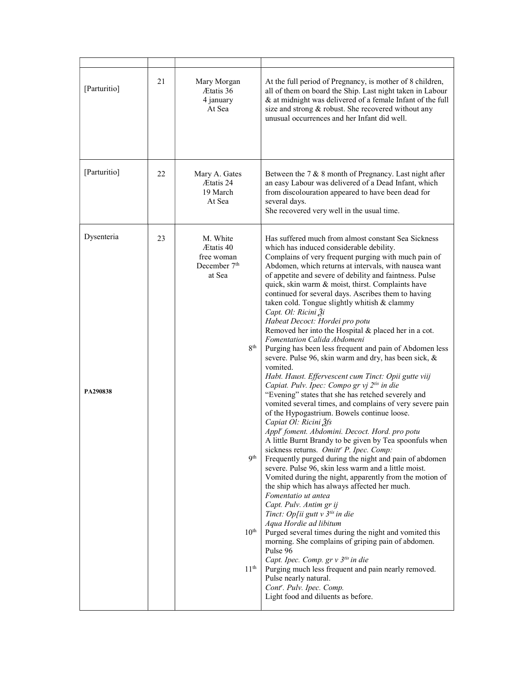| [Parturitio]           | 21 | Mary Morgan<br>Ætatis 36<br>4 january<br>At Sea                                                                                              | At the full period of Pregnancy, is mother of 8 children,<br>all of them on board the Ship. Last night taken in Labour<br>& at midnight was delivered of a female Infant of the full<br>size and strong & robust. She recovered without any<br>unusual occurrences and her Infant did well.                                                                                                                                                                                                                                                                                                                                                                                                                                                                                                                                                                                                                                                                                                                                                                                                                                                                                                                                                                                                                                                                                                                                                                                                                                                                                                                                                                                                                                                                                                                                                                    |
|------------------------|----|----------------------------------------------------------------------------------------------------------------------------------------------|----------------------------------------------------------------------------------------------------------------------------------------------------------------------------------------------------------------------------------------------------------------------------------------------------------------------------------------------------------------------------------------------------------------------------------------------------------------------------------------------------------------------------------------------------------------------------------------------------------------------------------------------------------------------------------------------------------------------------------------------------------------------------------------------------------------------------------------------------------------------------------------------------------------------------------------------------------------------------------------------------------------------------------------------------------------------------------------------------------------------------------------------------------------------------------------------------------------------------------------------------------------------------------------------------------------------------------------------------------------------------------------------------------------------------------------------------------------------------------------------------------------------------------------------------------------------------------------------------------------------------------------------------------------------------------------------------------------------------------------------------------------------------------------------------------------------------------------------------------------|
| [Parturitio]           | 22 | Mary A. Gates<br>Ætatis 24<br>19 March<br>At Sea                                                                                             | Between the $7 & 8$ month of Pregnancy. Last night after<br>an easy Labour was delivered of a Dead Infant, which<br>from discolouration appeared to have been dead for<br>several days.<br>She recovered very well in the usual time.                                                                                                                                                                                                                                                                                                                                                                                                                                                                                                                                                                                                                                                                                                                                                                                                                                                                                                                                                                                                                                                                                                                                                                                                                                                                                                                                                                                                                                                                                                                                                                                                                          |
| Dysenteria<br>PA290838 | 23 | M. White<br>Ætatis 40<br>free woman<br>December 7 <sup>th</sup><br>at Sea<br>$8^{\rm th}$<br><b>Qth</b><br>$10^{\rm th}$<br>11 <sup>th</sup> | Has suffered much from almost constant Sea Sickness<br>which has induced considerable debility.<br>Complains of very frequent purging with much pain of<br>Abdomen, which returns at intervals, with nausea want<br>of appetite and severe of debility and faintness. Pulse<br>quick, skin warm & moist, thirst. Complaints have<br>continued for several days. Ascribes them to having<br>taken cold. Tongue slightly whitish & clammy<br>Capt. Ol: Ricini Ži<br>Habeat Decoct: Hordei pro potu<br>Removed her into the Hospital & placed her in a cot.<br>Fomentation Calida Abdomeni<br>Purging has been less frequent and pain of Abdomen less<br>severe. Pulse 96, skin warm and dry, has been sick, &<br>vomited.<br>Habt. Haust. Effervescent cum Tinct: Opii gutte viij<br>Capiat. Pulv. Ipec: Compo gr vj 2tis in die<br>"Evening" states that she has retched severely and<br>vomited several times, and complains of very severe pain<br>of the Hypogastrium. Bowels continue loose.<br>Capiat Ol: Ricini 3fs<br>Appl' foment. Abdomini. Decoct. Hord. pro potu<br>A little Burnt Brandy to be given by Tea spoonfuls when<br>sickness returns. Omitt' P. Ipec. Comp:<br>Frequently purged during the night and pain of abdomen<br>severe. Pulse 96, skin less warm and a little moist.<br>Vomited during the night, apparently from the motion of<br>the ship which has always affected her much.<br>Fomentatio ut antea<br>Capt. Pulv. Antim gr ij<br>Tinct: Op[ii gutt $v$ 3 <sup>tis</sup> in die<br>Aqua Hordie ad libitum<br>Purged several times during the night and vomited this<br>morning. She complains of griping pain of abdomen.<br>Pulse 96<br>Capt. Ipec. Comp. gr v 3tis in die<br>Purging much less frequent and pain nearly removed.<br>Pulse nearly natural.<br>Cont'. Pulv. Ipec. Comp.<br>Light food and diluents as before. |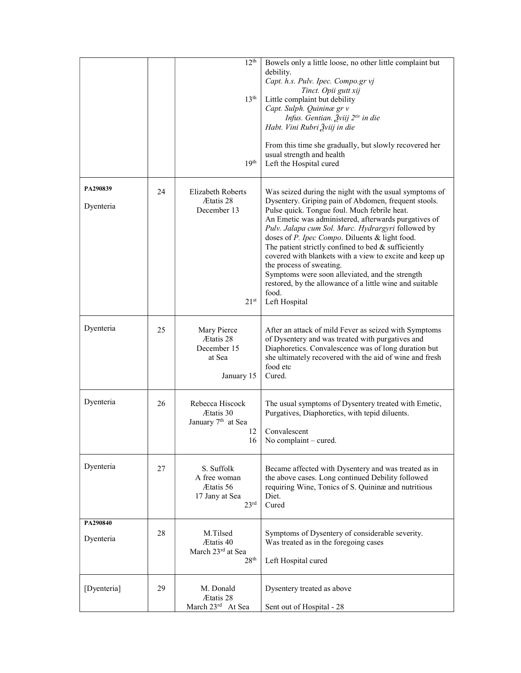|             |    | 12 <sup>th</sup>                                                              | Bowels only a little loose, no other little complaint but<br>debility.<br>Capt. h.s. Pulv. Ipec. Compo.gr vj                                                                                                                                                                                                                                                                                                                                                                                                                                                |
|-------------|----|-------------------------------------------------------------------------------|-------------------------------------------------------------------------------------------------------------------------------------------------------------------------------------------------------------------------------------------------------------------------------------------------------------------------------------------------------------------------------------------------------------------------------------------------------------------------------------------------------------------------------------------------------------|
|             |    | 13 <sup>th</sup>                                                              | Tinct. Opii gutt xij<br>Little complaint but debility<br>Capt. Sulph. Quininæ gr v<br>Infus. Gentian. Žviij 2 <sup>tis</sup> in die<br>Habt. Vini Rubri Žviij in die                                                                                                                                                                                                                                                                                                                                                                                        |
|             |    | 19 <sup>th</sup>                                                              | From this time she gradually, but slowly recovered her<br>usual strength and health<br>Left the Hospital cured                                                                                                                                                                                                                                                                                                                                                                                                                                              |
| PA290839    | 24 | <b>Elizabeth Roberts</b>                                                      | Was seized during the night with the usual symptoms of                                                                                                                                                                                                                                                                                                                                                                                                                                                                                                      |
| Dyenteria   |    | Ætatis 28<br>December 13<br>21 <sup>st</sup>                                  | Dysentery. Griping pain of Abdomen, frequent stools.<br>Pulse quick. Tongue foul. Much febrile heat.<br>An Emetic was administered, afterwards purgatives of<br>Pulv. Jalapa cum Sol. Murc. Hydrargyri followed by<br>doses of P. Ipec Compo. Diluents & light food.<br>The patient strictly confined to bed & sufficiently<br>covered with blankets with a view to excite and keep up<br>the process of sweating.<br>Symptoms were soon alleviated, and the strength<br>restored, by the allowance of a little wine and suitable<br>food.<br>Left Hospital |
| Dyenteria   | 25 | Mary Pierce<br>Ætatis 28<br>December 15<br>at Sea<br>January 15               | After an attack of mild Fever as seized with Symptoms<br>of Dysentery and was treated with purgatives and<br>Diaphoretics. Convalescence was of long duration but<br>she ultimately recovered with the aid of wine and fresh<br>food etc<br>Cured.                                                                                                                                                                                                                                                                                                          |
| Dyenteria   | 26 | Rebecca Hiscock<br>Ætatis 30<br>January 7 <sup>th</sup> at Sea<br>12<br>16    | The usual symptoms of Dysentery treated with Emetic,<br>Purgatives, Diaphoretics, with tepid diluents.<br>Convalescent<br>No complaint – cured.                                                                                                                                                                                                                                                                                                                                                                                                             |
| Dyenteria   | 27 | S. Suffolk<br>A free woman<br>Ætatis 56<br>17 Jany at Sea<br>23 <sup>rd</sup> | Became affected with Dysentery and was treated as in<br>the above cases. Long continued Debility followed<br>requiring Wine, Tonics of S. Quininæ and nutritious<br>Diet.<br>Cured                                                                                                                                                                                                                                                                                                                                                                          |
| PA290840    | 28 | M.Tilsed                                                                      | Symptoms of Dysentery of considerable severity.                                                                                                                                                                                                                                                                                                                                                                                                                                                                                                             |
| Dyenteria   |    | Ætatis 40<br>March 23rd at Sea<br>28 <sup>th</sup>                            | Was treated as in the foregoing cases<br>Left Hospital cured                                                                                                                                                                                                                                                                                                                                                                                                                                                                                                |
| [Dyenteria] | 29 | M. Donald<br>Ætatis 28                                                        | Dysentery treated as above                                                                                                                                                                                                                                                                                                                                                                                                                                                                                                                                  |
|             |    | March 23rd At Sea                                                             | Sent out of Hospital - 28                                                                                                                                                                                                                                                                                                                                                                                                                                                                                                                                   |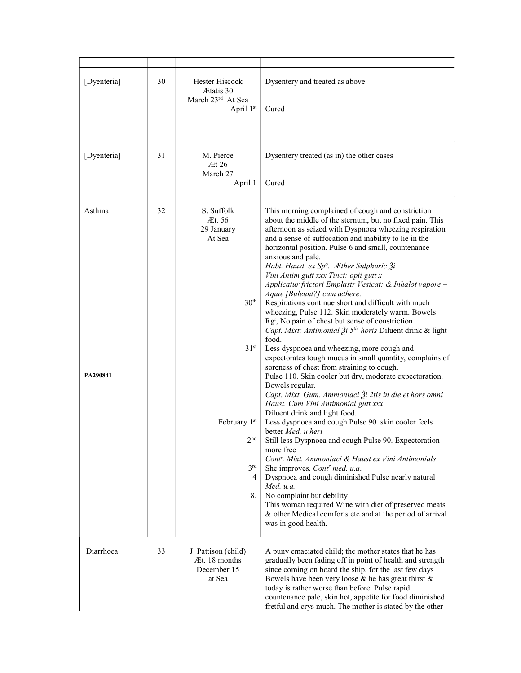| [Dyenteria]        | 30 | Hester Hiscock<br>Ætatis 30<br>March 23rd At Sea<br>April 1st                                                                                         | Dysentery and treated as above.<br>Cured                                                                                                                                                                                                                                                                                                                                                                                                                                                                                                                                                                                                                                                                                                                                                                                                                                                                                                                                                                                                                                                                                                                                                                                                                                                                                                                                                                                                                                                                                                                                                                                             |  |  |  |
|--------------------|----|-------------------------------------------------------------------------------------------------------------------------------------------------------|--------------------------------------------------------------------------------------------------------------------------------------------------------------------------------------------------------------------------------------------------------------------------------------------------------------------------------------------------------------------------------------------------------------------------------------------------------------------------------------------------------------------------------------------------------------------------------------------------------------------------------------------------------------------------------------------------------------------------------------------------------------------------------------------------------------------------------------------------------------------------------------------------------------------------------------------------------------------------------------------------------------------------------------------------------------------------------------------------------------------------------------------------------------------------------------------------------------------------------------------------------------------------------------------------------------------------------------------------------------------------------------------------------------------------------------------------------------------------------------------------------------------------------------------------------------------------------------------------------------------------------------|--|--|--|
| [Dyenteria]        | 31 | M. Pierce<br>At 26<br>March 27<br>April 1                                                                                                             | Dysentery treated (as in) the other cases<br>Cured                                                                                                                                                                                                                                                                                                                                                                                                                                                                                                                                                                                                                                                                                                                                                                                                                                                                                                                                                                                                                                                                                                                                                                                                                                                                                                                                                                                                                                                                                                                                                                                   |  |  |  |
| Asthma<br>PA290841 | 32 | S. Suffolk<br>Æt. 56<br>29 January<br>At Sea<br>30 <sup>th</sup><br>31 <sup>st</sup><br>February 1st<br>2 <sup>nd</sup><br>3 <sup>rd</sup><br>4<br>8. | This morning complained of cough and constriction<br>about the middle of the sternum, but no fixed pain. This<br>afternoon as seized with Dyspnoea wheezing respiration<br>and a sense of suffocation and inability to lie in the<br>horizontal position. Pulse 6 and small, countenance<br>anxious and pale.<br>Habt. Haust. ex Sp°. Æther Sulphuric Ži<br>Vini Antim gutt xxx Tinct: opii gutt x<br>Applicatur frictori Emplastr Vesicat: & Inhalot vapore -<br>Aquæ [Buleunt?] cum æthere.<br>Respirations continue short and difficult with much<br>wheezing, Pulse 112. Skin moderately warm. Bowels<br>Rg <sup>r</sup> , No pain of chest but sense of constriction<br>Capt. Mixt: Antimonial Ži 5 <sup>tis</sup> horis Diluent drink & light<br>food.<br>Less dyspnoea and wheezing, more cough and<br>expectorates tough mucus in small quantity, complains of<br>soreness of chest from straining to cough.<br>Pulse 110. Skin cooler but dry, moderate expectoration.<br>Bowels regular.<br>Capt. Mixt. Gum. Ammoniaci Ži 2tis in die et hors omni<br>Haust. Cum Vini Antimonial gutt xxx<br>Diluent drink and light food.<br>Less dyspnoea and cough Pulse 90 skin cooler feels<br>better <i>Med. u</i> heri<br>Still less Dyspnoea and cough Pulse 90. Expectoration<br>more free<br>Cont'. Mixt. Ammoniaci & Haust ex Vini Antimonials<br>She improves. Cont' med. u.a.<br>Dyspnoea and cough diminished Pulse nearly natural<br>Med. $u.a$ .<br>No complaint but debility<br>This woman required Wine with diet of preserved meats<br>& other Medical comforts etc and at the period of arrival<br>was in good health. |  |  |  |
| Diarrhoea          | 33 | J. Pattison (child)<br>Æt. 18 months<br>December 15<br>at Sea                                                                                         | A puny emaciated child; the mother states that he has<br>gradually been fading off in point of health and strength<br>since coming on board the ship, for the last few days<br>Bowels have been very loose & he has great thirst &<br>today is rather worse than before. Pulse rapid<br>countenance pale, skin hot, appetite for food diminished<br>fretful and crys much. The mother is stated by the other                                                                                                                                                                                                                                                                                                                                                                                                                                                                                                                                                                                                                                                                                                                                                                                                                                                                                                                                                                                                                                                                                                                                                                                                                         |  |  |  |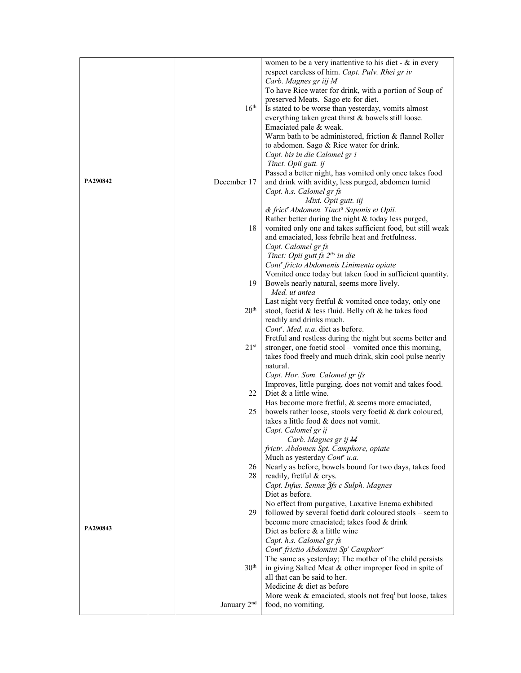|          |                         | women to be a very inattentive to his diet - $\&$ in every           |  |  |  |
|----------|-------------------------|----------------------------------------------------------------------|--|--|--|
|          |                         | respect careless of him. Capt. Pulv. Rhei gr iv                      |  |  |  |
|          |                         | Carb. Magnes gr iij M                                                |  |  |  |
|          |                         | To have Rice water for drink, with a portion of Soup of              |  |  |  |
|          |                         | preserved Meats. Sago etc for diet.                                  |  |  |  |
|          | 16 <sup>th</sup>        | Is stated to be worse than yesterday, vomits almost                  |  |  |  |
|          |                         | everything taken great thirst & bowels still loose.                  |  |  |  |
|          |                         | Emaciated pale & weak.                                               |  |  |  |
|          |                         | Warm bath to be administered, friction & flannel Roller              |  |  |  |
|          |                         | to abdomen. Sago & Rice water for drink.                             |  |  |  |
|          |                         | Capt. bis in die Calomel gr i                                        |  |  |  |
|          |                         | Tinct. Opii gutt. ij                                                 |  |  |  |
|          |                         | Passed a better night, has vomited only once takes food              |  |  |  |
| PA290842 | December 17             | and drink with avidity, less purged, abdomen tumid                   |  |  |  |
|          |                         | Capt. h.s. Calomel gr fs                                             |  |  |  |
|          |                         | Mixt. Opii gutt. iij                                                 |  |  |  |
|          |                         | & frict" Abdomen. Tinct <sup>a</sup> Saponis et Opii.                |  |  |  |
|          |                         | Rather better during the night & today less purged,                  |  |  |  |
|          | 18                      | vomited only one and takes sufficient food, but still weak           |  |  |  |
|          |                         | and emaciated, less febrile heat and fretfulness.                    |  |  |  |
|          |                         | Capt. Calomel gr fs                                                  |  |  |  |
|          |                         | Tinct: Opii gutt fs 2tis in die                                      |  |  |  |
|          |                         | Cont <sup>r</sup> fricto Abdomenis Linimenta opiate                  |  |  |  |
|          |                         | Vomited once today but taken food in sufficient quantity.            |  |  |  |
|          | 19                      | Bowels nearly natural, seems more lively.                            |  |  |  |
|          |                         | Med. ut antea                                                        |  |  |  |
|          |                         | Last night very fretful & vomited once today, only one               |  |  |  |
|          | 20 <sup>th</sup>        | stool, foetid & less fluid. Belly oft & he takes food                |  |  |  |
|          |                         | readily and drinks much.                                             |  |  |  |
|          |                         | Cont <sup>r</sup> . Med. u.a. diet as before.                        |  |  |  |
|          |                         | Fretful and restless during the night but seems better and           |  |  |  |
|          | $21^{\rm st}$           | stronger, one foetid stool – vomited once this morning,              |  |  |  |
|          |                         | takes food freely and much drink, skin cool pulse nearly             |  |  |  |
|          |                         | natural.                                                             |  |  |  |
|          |                         | Capt. Hor. Som. Calomel gr ifs                                       |  |  |  |
|          |                         | Improves, little purging, does not vomit and takes food.             |  |  |  |
|          | 22                      | Diet & a little wine.                                                |  |  |  |
|          |                         | Has become more fretful, & seems more emaciated,                     |  |  |  |
|          | 25                      | bowels rather loose, stools very foetid & dark coloured,             |  |  |  |
|          |                         | takes a little food & does not vomit.                                |  |  |  |
|          |                         | Capt. Calomel gr ij                                                  |  |  |  |
|          |                         | Carb. Magnes gr ij M                                                 |  |  |  |
|          |                         | frictr. Abdomen Spt. Camphore, opiate                                |  |  |  |
|          |                         | Much as yesterday Cont' u.a.                                         |  |  |  |
|          | 26                      | Nearly as before, bowels bound for two days, takes food              |  |  |  |
|          | 28                      | readily, fretful & crys.                                             |  |  |  |
|          |                         | Capt. Infus. Sennæ 2fs c Sulph. Magnes                               |  |  |  |
|          |                         | Diet as before.                                                      |  |  |  |
|          |                         | No effect from purgative, Laxative Enema exhibited                   |  |  |  |
|          | 29                      | followed by several foetid dark coloured stools - seem to            |  |  |  |
| PA290843 |                         | become more emaciated; takes food & drink                            |  |  |  |
|          |                         | Diet as before & a little wine                                       |  |  |  |
|          |                         | Capt. h.s. Calomel gr fs                                             |  |  |  |
|          |                         | Cont' frictio Abdomini Sp <sup>t</sup> Camphor <sup>a</sup>          |  |  |  |
|          |                         | The same as yesterday; The mother of the child persists              |  |  |  |
|          | 30 <sup>th</sup>        | in giving Salted Meat & other improper food in spite of              |  |  |  |
|          |                         | all that can be said to her.                                         |  |  |  |
|          |                         | Medicine & diet as before                                            |  |  |  |
|          |                         | More weak & emaciated, stools not freq <sup>t</sup> but loose, takes |  |  |  |
|          | January 2 <sup>nd</sup> | food, no vomiting.                                                   |  |  |  |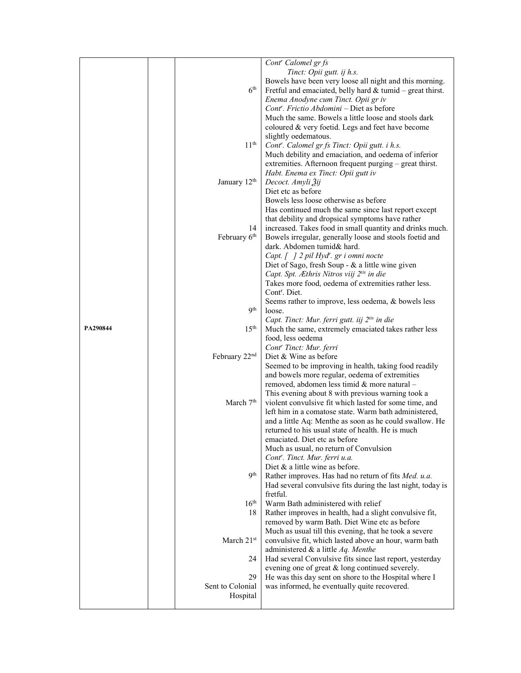|          |                          | Cont <sup>r</sup> Calomel gr fs                             |
|----------|--------------------------|-------------------------------------------------------------|
|          |                          |                                                             |
|          |                          | Tinct: Opii gutt. ij h.s.                                   |
|          |                          | Bowels have been very loose all night and this morning.     |
|          | 6 <sup>th</sup>          | Fretful and emaciated, belly hard $&$ tumid – great thirst. |
|          |                          | Enema Anodyne cum Tinct. Opii gr iv                         |
|          |                          | Cont''. Frictio Abdomini – Diet as before                   |
|          |                          | Much the same. Bowels a little loose and stools dark        |
|          |                          | coloured & very foetid. Legs and feet have become           |
|          |                          | slightly oedematous.                                        |
|          | 11 <sup>th</sup>         | Cont <sup>r</sup> . Calomel gr fs Tinct: Opii gutt. i h.s.  |
|          |                          | Much debility and emaciation, and oedema of inferior        |
|          |                          | extremities. Afternoon frequent purging – great thirst.     |
|          |                          | Habt. Enema ex Tinct: Opii gutt iv                          |
|          | January 12 <sup>th</sup> | Decoct. Amyli Žij                                           |
|          |                          | Diet etc as before                                          |
|          |                          | Bowels less loose otherwise as before                       |
|          |                          |                                                             |
|          |                          | Has continued much the same since last report except        |
|          |                          | that debility and dropsical symptoms have rather            |
|          | 14                       | increased. Takes food in small quantity and drinks much.    |
|          | February 6 <sup>th</sup> | Bowels irregular, generally loose and stools foetid and     |
|          |                          | dark. Abdomen tumid& hard.                                  |
|          |                          | Capt. [] 2 pil Hyd'. gr i omni nocte                        |
|          |                          | Diet of Sago, fresh Soup - & a little wine given            |
|          |                          | Capt. Spt. Æthris Nitros viij 2tis in die                   |
|          |                          | Takes more food, oedema of extremities rather less.         |
|          |                          | Cont <sup>r</sup> . Diet.                                   |
|          |                          | Seems rather to improve, less oedema, & bowels less         |
|          | Qth                      | loose.                                                      |
|          |                          | Capt. Tinct: Mur. ferri gutt. iij 2tis in die               |
| PA290844 | 15 <sup>th</sup>         | Much the same, extremely emaciated takes rather less        |
|          |                          | food, less oedema                                           |
|          |                          | Cont <sup>r</sup> Tinct: Mur. ferri                         |
|          | February 22nd            | Diet & Wine as before                                       |
|          |                          | Seemed to be improving in health, taking food readily       |
|          |                          | and bowels more regular, oedema of extremities              |
|          |                          | removed, abdomen less timid & more natural -                |
|          |                          | This evening about 8 with previous warning took a           |
|          | March 7 <sup>th</sup>    | violent convulsive fit which lasted for some time, and      |
|          |                          | left him in a comatose state. Warm bath administered,       |
|          |                          | and a little Aq: Menthe as soon as he could swallow. He     |
|          |                          | returned to his usual state of health. He is much           |
|          |                          | emaciated. Diet etc as before                               |
|          |                          | Much as usual, no return of Convulsion                      |
|          |                          | Cont <sup>r</sup> . Tinct. Mur. ferri u.a.                  |
|          |                          | Diet $\&$ a little wine as before.                          |
|          | 9 <sup>th</sup>          |                                                             |
|          |                          | Rather improves. Has had no return of fits Med. u.a.        |
|          |                          | Had several convulsive fits during the last night, today is |
|          |                          | fretful.                                                    |
|          | $16^{\text{th}}$         | Warm Bath administered with relief                          |
|          | 18                       | Rather improves in health, had a slight convulsive fit,     |
|          |                          | removed by warm Bath. Diet Wine etc as before               |
|          |                          | Much as usual till this evening, that he took a severe      |
|          | March 21st               | convulsive fit, which lasted above an hour, warm bath       |
|          |                          | administered & a little Aq. Menthe                          |
|          | 24                       | Had several Convulsive fits since last report, yesterday    |
|          |                          | evening one of great & long continued severely.             |
|          | 29                       | He was this day sent on shore to the Hospital where I       |
|          | Sent to Colonial         | was informed, he eventually quite recovered.                |
|          | Hospital                 |                                                             |
|          |                          |                                                             |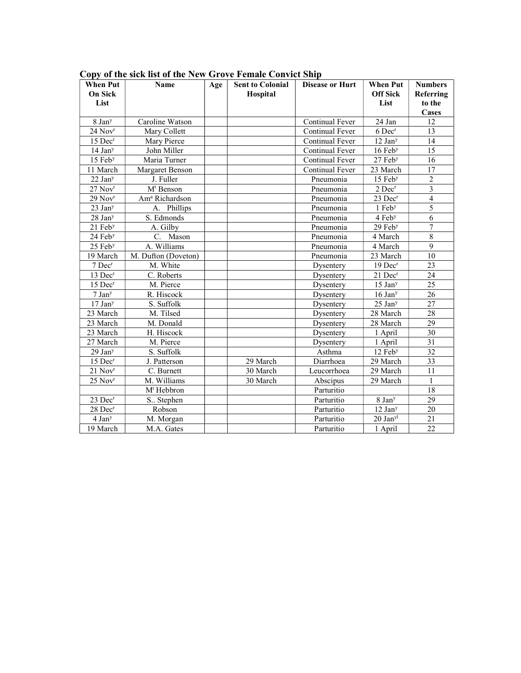| <b>When Put</b><br><b>On Sick</b> | <b>Name</b>                | Age | <b>Sent to Colonial</b><br>Hospital | <b>Disease or Hurt</b> | <b>When Put</b><br><b>Off Sick</b> | <b>Numbers</b><br>Referring |
|-----------------------------------|----------------------------|-----|-------------------------------------|------------------------|------------------------------------|-----------------------------|
| List                              |                            |     |                                     |                        | List                               | to the                      |
|                                   |                            |     |                                     |                        |                                    | Cases                       |
| 8 Jan <sup>y</sup>                | Caroline Watson            |     |                                     | Continual Fever        | 24 Jan                             | 12                          |
| $24$ Nov <sup>r</sup>             | Mary Collett               |     |                                     | Continual Fever        | 6 Dec <sup>r</sup>                 | 13                          |
| $15$ Dec <sup>r</sup>             | Mary Pierce                |     |                                     | Continual Fever        | $12$ Jan <sup>y</sup>              | 14                          |
| $14$ Jan <sup>y</sup>             | John Miller                |     |                                     | Continual Fever        | $16$ Feb $y$                       | 15                          |
| 15 Feb <sup>y</sup>               | Maria Turner               |     |                                     | Continual Fever        | 27 Feb <sup>y</sup>                | 16                          |
| 11 March                          | Margaret Benson            |     |                                     | Continual Fever        | 23 March                           | 17                          |
| $22$ Jan <sup>y</sup>             | J. Fuller                  |     |                                     | Pneumonia              | $15$ Feb $y$                       | $\overline{2}$              |
| 27 Nov <sup>r</sup>               | M <sup>t</sup> Benson      |     |                                     | Pneumonia              | $2$ Dec <sup>r</sup>               | $\overline{\mathbf{3}}$     |
| 29 Nov <sup>r</sup>               | Am <sup>a</sup> Richardson |     |                                     | Pneumonia              | 23 Dec <sup>r</sup>                | $\overline{4}$              |
| $23$ Jan <sup>y</sup>             | A. Phillips                |     |                                     | Pneumonia              | 1 Feb <sup>y</sup>                 | 5                           |
| 28 Jan <sup>y</sup>               | S. Edmonds                 |     |                                     | Pneumonia              | 4 Feb <sup>y</sup>                 | 6                           |
| $21$ Feb <sup>y</sup>             | A. Gilby                   |     |                                     | Pneumonia              | $29$ Feb $y$                       | $\overline{7}$              |
| 24 Feb <sup>y</sup>               | C. Mason                   |     |                                     | Pneumonia              | 4 March                            | $\,8\,$                     |
| 25 Feb <sup>y</sup>               | A. Williams                |     |                                     | Pneumonia              | 4 March                            | $\mathfrak{g}$              |
| 19 March                          | M. Dufton (Doveton)        |     |                                     | Pneumonia              | 23 March                           | 10                          |
| 7 Dec <sup>r</sup>                | M. White                   |     |                                     | Dysentery              | $19$ Dec <sup>r</sup>              | 23                          |
| 13 Dec <sup>r</sup>               | C. Roberts                 |     |                                     | Dysentery              | $21$ Dec <sup>r</sup>              | 24                          |
| $15$ Dec <sup>r</sup>             | M. Pierce                  |     |                                     | Dysentery              | $15$ Jan <sup>y</sup>              | 25                          |
| 7 Jan <sup>y</sup>                | R. Hiscock                 |     |                                     | Dysentery              | 16 Jan <sup>y</sup>                | 26                          |
| 17 Jan <sup>y</sup>               | S. Suffolk                 |     |                                     | Dysentery              | 25 Jan <sup>y</sup>                | 27                          |
| 23 March                          | M. Tilsed                  |     |                                     | Dysentery              | 28 March                           | 28                          |
| 23 March                          | M. Donald                  |     |                                     | Dysentery              | 28 March                           | 29                          |
| 23 March                          | H. Hiscock                 |     |                                     | Dysentery              | 1 April                            | 30                          |
| 27 March                          | M. Pierce                  |     |                                     | Dysentery              | 1 April                            | 31                          |
| 29 Jan <sup>y</sup>               | S. Suffolk                 |     |                                     | Asthma                 | 12 Feb <sup>y</sup>                | 32                          |
| 15 Dec <sup>r</sup>               | J. Patterson               |     | 29 March                            | Diarrhoea              | 29 March                           | 33                          |
| $21$ Nov <sup>r</sup>             | C. Burnett                 |     | 30 March                            | Leucorrhoea            | 29 March                           | 11                          |
| $25$ Nov <sup>r</sup>             | M. Williams                |     | 30 March                            | Abscipus               | 29 March                           | $\mathbf{1}$                |
|                                   | $Mt$ Hebbron               |     |                                     | Parturitio             |                                    | 18                          |
| 23 Dec <sup>r</sup>               | S Stephen                  |     |                                     | Parturitio             | 8 Jan <sup>y</sup>                 | 29                          |
| 28 Dec <sup>r</sup>               | Robson                     |     |                                     | Parturitio             | $12~\mathrm{Jan^{y}}$              | 20                          |
| $4$ Jan <sup>y</sup>              | M. Morgan                  |     |                                     | Parturitio             | $20$ Jan <sup>yl</sup>             | 21                          |
| 19 March                          | M.A. Gates                 |     |                                     | Parturitio             | 1 April                            | 22                          |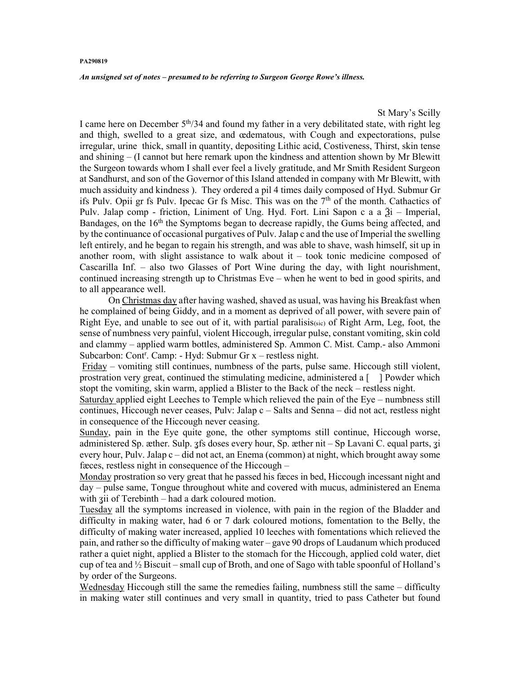## PA290819

An unsigned set of notes – presumed to be referring to Surgeon George Rowe's illness.

St Mary's Scilly

I came here on December  $5<sup>th</sup>/34$  and found my father in a very debilitated state, with right leg and thigh, swelled to a great size, and œdematous, with Cough and expectorations, pulse irregular, urine thick, small in quantity, depositing Lithic acid, Costiveness, Thirst, skin tense and shining – (I cannot but here remark upon the kindness and attention shown by Mr Blewitt the Surgeon towards whom I shall ever feel a lively gratitude, and Mr Smith Resident Surgeon at Sandhurst, and son of the Governor of this Island attended in company with Mr Blewitt, with much assiduity and kindness ). They ordered a pil 4 times daily composed of Hyd. Submur Gr ifs Pulv. Opii gr fs Pulv. Ipecac Gr fs Misc. This was on the  $7<sup>th</sup>$  of the month. Cathactics of Pulv. Jalap comp - friction, Liniment of Ung. Hyd. Fort. Lini Sapon c a a Ѯi – Imperial, Bandages, on the  $16<sup>th</sup>$  the Symptoms began to decrease rapidly, the Gums being affected, and by the continuance of occasional purgatives of Pulv. Jalap c and the use of Imperial the swelling left entirely, and he began to regain his strength, and was able to shave, wash himself, sit up in another room, with slight assistance to walk about it – took tonic medicine composed of Cascarilla Inf. – also two Glasses of Port Wine during the day, with light nourishment, continued increasing strength up to Christmas Eve – when he went to bed in good spirits, and to all appearance well.

 On Christmas day after having washed, shaved as usual, was having his Breakfast when he complained of being Giddy, and in a moment as deprived of all power, with severe pain of Right Eye, and unable to see out of it, with partial paralisis(sic) of Right Arm, Leg, foot, the sense of numbness very painful, violent Hiccough, irregular pulse, constant vomiting, skin cold and clammy – applied warm bottles, administered Sp. Ammon C. Mist. Camp.- also Ammoni Subcarbon: Cont<sup>r</sup>. Camp: - Hyd: Submur Gr x - restless night.

 Friday – vomiting still continues, numbness of the parts, pulse same. Hiccough still violent, prostration very great, continued the stimulating medicine, administered a [ ] Powder which stopt the vomiting, skin warm, applied a Blister to the Back of the neck – restless night.

Saturday applied eight Leeches to Temple which relieved the pain of the Eye – numbness still continues, Hiccough never ceases, Pulv: Jalap  $c -$  Salts and Senna – did not act, restless night in consequence of the Hiccough never ceasing.

Sunday, pain in the Eye quite gone, the other symptoms still continue, Hiccough worse, administered Sp. æther. Sulp. 3fs doses every hour, Sp. æther nit – Sp Lavani C. equal parts, 3i every hour, Pulv. Jalap c – did not act, an Enema (common) at night, which brought away some fæces, restless night in consequence of the Hiccough –

Monday prostration so very great that he passed his fæces in bed, Hiccough incessant night and day – pulse same, Tongue throughout white and covered with mucus, administered an Enema with zii of Terebinth – had a dark coloured motion.

Tuesday all the symptoms increased in violence, with pain in the region of the Bladder and difficulty in making water, had 6 or 7 dark coloured motions, fomentation to the Belly, the difficulty of making water increased, applied 10 leeches with fomentations which relieved the pain, and rather so the difficulty of making water – gave 90 drops of Laudanum which produced rather a quiet night, applied a Blister to the stomach for the Hiccough, applied cold water, diet cup of tea and  $\frac{1}{2}$  Biscuit – small cup of Broth, and one of Sago with table spoonful of Holland's by order of the Surgeons.

Wednesday Hiccough still the same the remedies failing, numbness still the same – difficulty in making water still continues and very small in quantity, tried to pass Catheter but found